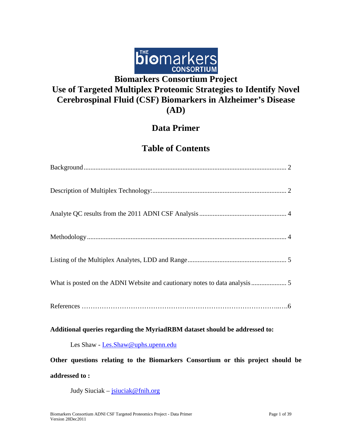

# **Use of Targeted Multiplex Proteomic Strategies to Identify Novel Cerebrospinal Fluid (CSF) Biomarkers in Alzheimer's Disease (AD)**

### **Data Primer**

### **Table of Contents**

| What is posted on the ADNI Website and cautionary notes to data analysis 5      |
|---------------------------------------------------------------------------------|
|                                                                                 |
| Additional queries regarding the MyriadRBM dataset should be addressed to:      |
| Les Shaw - Les Shaw@uphs.upenn.edu                                              |
| Other questions relating to the Biomarkers Consortium or this project should be |
| addressed to:                                                                   |

<span id="page-0-0"></span>Judy Siuciak – [jsiuciak@fnih.org](mailto:jsiuciak@fnih.org)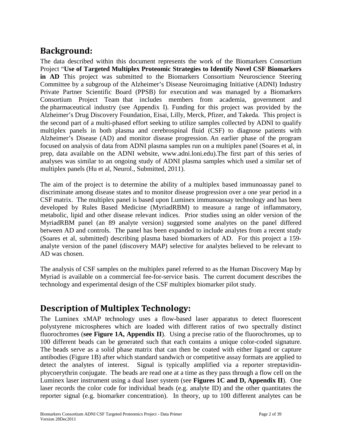### **Background:**

The data described within this document represents the work of the Biomarkers Consortium Project "**Use of Targeted Multiplex Proteomic Strategies to Identify Novel CSF Biomarkers in AD** This project was submitted to the Biomarkers Consortium Neuroscience Steering Committee by a subgroup of the Alzheimer's Disease Neuroimaging Initiative (ADNI) Industry Private Partner Scientific Board (PPSB) for execution and was managed by a Biomarkers Consortium Project Team that includes members from academia, government and the pharmaceutical industry (see Appendix I). Funding for this project was provided by the Alzheimer's Drug Discovery Foundation, Eisai, Lilly, Merck, Pfizer, and Takeda. This project is the second part of a multi-phased effort seeking to utilize samples collected by ADNI to qualify multiplex panels in both plasma and cerebrospinal fluid (CSF) to diagnose patients with Alzheimer's Disease (AD) and monitor disease progression. An earlier phase of the program focused on analysis of data from ADNI plasma samples run on a multiplex panel (Soares et al, in prep, data available on the ADNI website, www.adni.loni.edu).The first part of this series of analyses was similar to an ongoing study of ADNI plasma samples which used a similar set of multiplex panels (Hu et al, Neurol., Submitted, 2011).

The aim of the project is to determine the ability of a multiplex based immunoassay panel to discriminate among disease states and to monitor disease progression over a one year period in a CSF matrix. The multiplex panel is based upon Luminex immunoassay technology and has been developed by Rules Based Medicine (MyriadRBM) to measure a range of inflammatory, metabolic, lipid and other disease relevant indices. Prior studies using an older version of the MyriadRBM panel (an 89 analyte version) suggested some analytes on the panel differed between AD and controls. The panel has been expanded to include analytes from a recent study (Soares et al, submitted) describing plasma based biomarkers of AD. For this project a 159 analyte version of the panel (discovery MAP) selective for analytes believed to be relevant to AD was chosen.

The analysis of CSF samples on the multiplex panel referred to as the Human Discovery Map by Myriad is available on a commercial fee-for-service basis. The current document describes the technology and experimental design of the CSF multiplex biomarker pilot study.

### <span id="page-1-0"></span>**Description of Multiplex Technology:**

The Luminex xMAP technology uses a flow-based laser apparatus to detect fluorescent polystyrene microspheres which are loaded with different ratios of two spectrally distinct fluorochromes (**see Figure 1A, Appendix II**). Using a precise ratio of the fluorochromes, up to 100 different beads can be generated such that each contains a unique color-coded signature. The beads serve as a solid phase matrix that can then be coated with either ligand or capture antibodies (Figure 1B) after which standard sandwich or competitive assay formats are applied to detect the analytes of interest. Signal is typically amplified via a reporter streptavidinphycoerythrin conjugate. The beads are read one at a time as they pass through a flow cell on the Luminex laser instrument using a dual laser system (see **Figures 1C and D, Appendix II**). One laser records the color code for individual beads (e.g. analyte ID) and the other quantitates the reporter signal (e.g. biomarker concentration). In theory, up to 100 different analytes can be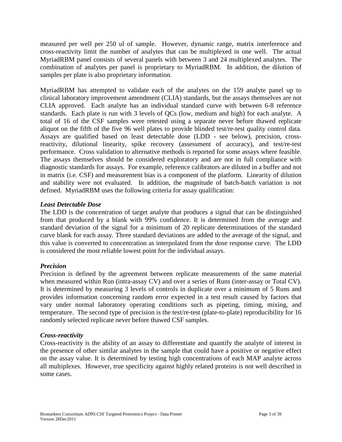measured per well per 250 ul of sample. However, dynamic range, matrix interference and cross-reactivity limit the number of analytes that can be multiplexed in one well. The actual MyriadRBM panel consists of several panels with between 3 and 24 multiplexed analytes. The combination of analytes per panel is proprietary to MyriadRBM. In addition, the dilution of samples per plate is also proprietary information.

MyriadRBM has attempted to validate each of the analytes on the 159 analyte panel up to clinical laboratory improvement amendment (CLIA) standards, but the assays themselves are not CLIA approved. Each analyte has an individual standard curve with between 6-8 reference standards. Each plate is run with 3 levels of QCs (low, medium and high) for each analyte. A total of 16 of the CSF samples were retested using a separate never before thawed replicate aliquot on the fifth of the five 96 well plates to provide blinded test/re-test quality control data. Assays are qualified based on least detectable dose (LDD - see below), precision, crossreactivity, dilutional linearity, spike recovery (assessment of accuracy), and test/re-test performance. Cross validation to alternative methods is reported for some assays where feasible. The assays themselves should be considered exploratory and are not in full compliance with diagnostic standards for assays. For example, reference calibrators are diluted in a buffer and not in matrix (i.e. CSF) and measurement bias is a component of the platform. Linearity of dilution and stability were not evaluated. In addition, the magnitude of batch-batch variation is not defined. MyriadRBM uses the following criteria for assay qualification:

#### *Least Detectable Dose*

The LDD is the concentration of target analyte that produces a signal that can be distinguished from that produced by a blank with 99% confidence. It is determined from the average and standard deviation of the signal for a minimum of 20 replicate determinations of the standard curve blank for each assay. Three standard deviations are added to the average of the signal, and this value is converted to concentration as interpolated from the dose response curve. The LDD is considered the most reliable lowest point for the individual assays.

#### *Precision*

Precision is defined by the agreement between replicate measurements of the same material when measured within Run (intra-assay CV) and over a series of Runs (inter-assay or Total CV). It is determined by measuring 3 levels of controls in duplicate over a minimum of 5 Runs and provides information concerning random error expected in a test result caused by factors that vary under normal laboratory operating conditions such as pipeting, timing, mixing, and temperature. The second type of precision is the test/re-test (plate-to-plate) reproducibility for 16 randomly selected replicate never before thawed CSF samples.

#### *Cross-reactivity*

Cross-reactivity is the ability of an assay to differentiate and quantify the analyte of interest in the presence of other similar analytes in the sample that could have a positive or negative effect on the assay value. It is determined by testing high concentrations of each MAP analyte across all multiplexes. However, true specificity against highly related proteins is not well described in some cases.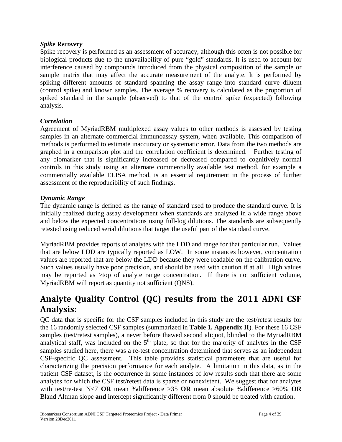#### *Spike Recovery*

Spike recovery is performed as an assessment of accuracy, although this often is not possible for biological products due to the unavailability of pure "gold" standards. It is used to account for interference caused by compounds introduced from the physical composition of the sample or sample matrix that may affect the accurate measurement of the analyte. It is performed by spiking different amounts of standard spanning the assay range into standard curve diluent (control spike) and known samples. The average % recovery is calculated as the proportion of spiked standard in the sample (observed) to that of the control spike (expected) following analysis.

#### *Correlation*

Agreement of MyriadRBM multiplexed assay values to other methods is assessed by testing samples in an alternate commercial immunoassay system, when available. This comparison of methods is performed to estimate inaccuracy or systematic error. Data from the two methods are graphed in a comparison plot and the correlation coefficient is determined. Further testing of any biomarker that is significantly increased or decreased compared to cognitively normal controls in this study using an alternate commercially available test method, for example a commercially available ELISA method, is an essential requirement in the process of further assessment of the reproducibility of such findings.

#### *Dynamic Range*

The dynamic range is defined as the range of standard used to produce the standard curve. It is initially realized during assay development when standards are analyzed in a wide range above and below the expected concentrations using full-log dilutions. The standards are subsequently retested using reduced serial dilutions that target the useful part of the standard curve.

MyriadRBM provides reports of analytes with the LDD and range for that particular run. Values that are below LDD are typically reported as LOW. In some instances however, concentration values are reported that are below the LDD because they were readable on the calibration curve. Such values usually have poor precision, and should be used with caution if at all. High values may be reported as >top of analyte range concentration. If there is not sufficient volume, MyriadRBM will report as quantity not sufficient (QNS).

### <span id="page-3-0"></span>**Analyte Quality Control (QC) results from the 2011 ADNI CSF Analysis:**

QC data that is specific for the CSF samples included in this study are the test/retest results for the 16 randomly selected CSF samples (summarized in **Table 1, Appendix II**). For these 16 CSF samples (test/retest samples), a never before thawed second aliquot, blinded to the MyriadRBM analytical staff, was included on the  $5<sup>th</sup>$  plate, so that for the majority of analytes in the CSF samples studied here, there was a re-test concentration determined that serves as an independent CSF-specific QC assessment. This table provides statistical parameters that are useful for characterizing the precision performance for each analyte. A limitation in this data, as in the patient CSF dataset, is the occurrence in some instances of low results such that there are some analytes for which the CSF test/retest data is sparse or nonexistent. We suggest that for analytes with test/re-test N<7 **OR** mean %difference >35 **OR** mean absolute %difference >60% **OR** Bland Altman slope **and** intercept significantly different from 0 should be treated with caution.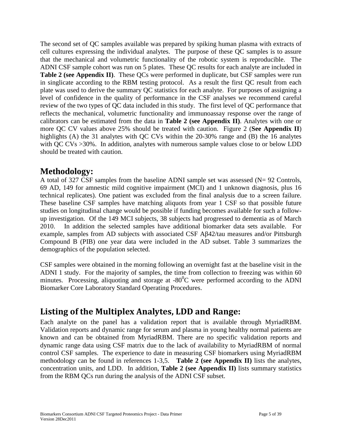The second set of QC samples available was prepared by spiking human plasma with extracts of cell cultures expressing the individual analytes. The purpose of these QC samples is to assure that the mechanical and volumetric functionality of the robotic system is reproducible. The ADNI CSF sample cohort was run on 5 plates. These QC results for each analyte are included in **Table 2** (see Appendix II). These QCs were performed in duplicate, but CSF samples were run in singlicate according to the RBM testing protocol. As a result the first QC result from each plate was used to derive the summary QC statistics for each analyte. For purposes of assigning a level of confidence in the quality of performance in the CSF analyses we recommend careful review of the two types of QC data included in this study. The first level of QC performance that reflects the mechanical, volumetric functionality and immunoassay response over the range of calibrators can be estimated from the data in **Table 2 (see Appendix II)**. Analytes with one or more QC CV values above 25% should be treated with caution. Figure 2 (**See Appendix II**) highlights (A) the 31 analytes with QC CVs within the 20-30% range and (B) the 16 analytes with QC CVs >30%. In addition, analytes with numerous sample values close to or below LDD should be treated with caution.

### **Methodology:**

A total of 327 CSF samples from the baseline ADNI sample set was assessed ( $N= 92$  Controls, 69 AD, 149 for amnestic mild cognitive impairment (MCI) and 1 unknown diagnosis, plus 16 technical replicates). One patient was excluded from the final analysis due to a screen failure. These baseline CSF samples have matching aliquots from year 1 CSF so that possible future studies on longitudinal change would be possible if funding becomes available for such a followup investigation. Of the 149 MCI subjects, 38 subjects had progressed to dementia as of March 2010. In addition the selected samples have additional biomarker data sets available. For example, samples from AD subjects with associated CSF Aβ42/tau measures and/or Pittsburgh Compound B (PIB) one year data were included in the AD subset. Table 3 summarizes the demographics of the population selected.

CSF samples were obtained in the morning following an overnight fast at the baseline visit in the ADNI 1 study. For the majority of samples, the time from collection to freezing was within 60 minutes. Processing, aliquoting and storage at  $-80^{\circ}$ C were performed according to the ADNI Biomarker Core Laboratory Standard Operating Procedures.

### **Listing of the Multiplex Analytes, LDD and Range:**

Each analyte on the panel has a validation report that is available through MyriadRBM. Validation reports and dynamic range for serum and plasma in young healthy normal patients are known and can be obtained from MyriadRBM. There are no specific validation reports and dynamic range data using CSF matrix due to the lack of availability to MyriadRBM of normal control CSF samples. The experience to date in measuring CSF biomarkers using MyriadRBM methodology can be found in references 1-3,5. **Table 2 (see Appendix II)** lists the analytes, concentration units, and LDD. In addition, **Table 2 (see Appendix II)** lists summary statistics from the RBM QCs run during the analysis of the ADNI CSF subset.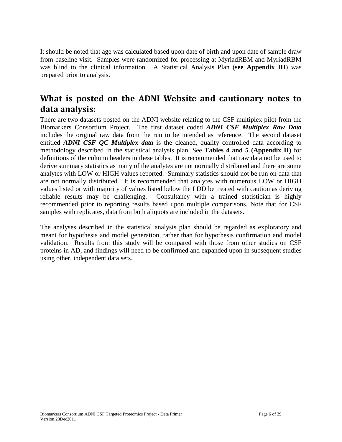It should be noted that age was calculated based upon date of birth and upon date of sample draw from baseline visit. Samples were randomized for processing at MyriadRBM and MyriadRBM was blind to the clinical information. A Statistical Analysis Plan (**see Appendix III**) was prepared prior to analysis.

### <span id="page-5-0"></span>**What is posted on the ADNI Website and cautionary notes to data analysis:**

There are two datasets posted on the ADNI website relating to the CSF multiplex pilot from the Biomarkers Consortium Project. The first dataset coded *ADNI CSF Multiplex Raw Data* includes the original raw data from the run to be intended as reference. The second dataset entitled *ADNI CSF QC Multiplex data* is the cleaned, quality controlled data according to methodology described in the statistical analysis plan. See **Tables 4 and 5 (Appendix II)** for definitions of the column headers in these tables. It is recommended that raw data not be used to derive summary statistics as many of the analytes are not normally distributed and there are some analytes with LOW or HIGH values reported. Summary statistics should not be run on data that are not normally distributed. It is recommended that analytes with numerous LOW or HIGH values listed or with majority of values listed below the LDD be treated with caution as deriving reliable results may be challenging. Consultancy with a trained statistician is highly recommended prior to reporting results based upon multiple comparisons. Note that for CSF samples with replicates, data from both aliquots are included in the datasets.

The analyses described in the statistical analysis plan should be regarded as exploratory and meant for hypothesis and model generation, rather than for hypothesis confirmation and model validation. Results from this study will be compared with those from other studies on CSF proteins in AD, and findings will need to be confirmed and expanded upon in subsequent studies using other, independent data sets.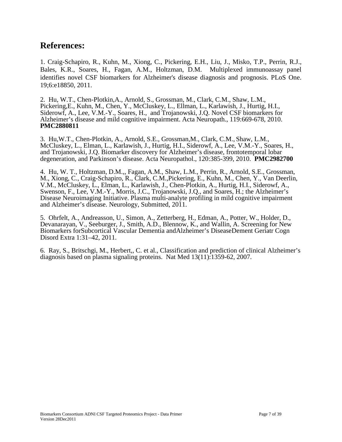### **References:**

1. Craig-Schapiro, R., Kuhn, M., Xiong, C., Pickering, E.H., Liu, J., Misko, T.P., Perrin, R.J., Bales, K.R., Soares, H., Fagan, A.M., Holtzman, D.M. Multiplexed immunoassay panel identifies novel CSF biomarkers for Alzheimer's disease diagnosis and prognosis. PLoS One. 19;6:e18850, 2011.

2. Hu, W.T., Chen-Plotkin,A., Arnold, S., Grossman, M., Clark, C.M., Shaw, L.M., Pickering,E., Kuhn, M., Chen, Y., McCluskey, L., Ellman, L., Karlawish, J., Hurtig, H.I., Siderowf, A., Lee, V.M.-Y., Soares, H., and Trojanowski, J.Q. Novel CSF biomarkers for Alzheimer's disease and mild cognitive impairment. Acta Neuropath., 119:669-678, 2010. **PMC2880811**

3. Hu,W.T., Chen-Plotkin, A., Arnold, S.E., Grossman,M., Clark, C.M., Shaw, L.M., McCluskey, L., Elman, L., Karlawish, J., Hurtig, H.I., Siderowf, A., Lee, V.M.-Y., Soares, H., and Trojanowski, J.Q. Biomarker discovery for Alzheimer's disease, frontotemporal lobar degeneration, and Parkinson's disease. Acta Neuropathol., 120:385-399, 2010. **PMC2982700**

4. Hu, W. T., Holtzman, D.M.,, Fagan, A.M., Shaw, L.M., Perrin, R., Arnold, S.E., Grossman, M., Xiong, C., Craig-Schapiro, R., Clark, C.M.,Pickering, E., Kuhn, M., Chen, Y., Van Deerlin, V.M., McCluskey, L., Elman, L., Karlawish, J., Chen-Plotkin, A., Hurtig, H.I., Siderowf, A., Swenson, F., Lee, V.M.-Y., Morris, J.C., Trojanowski, J.Q., and Soares, H.; the Alzheimer's Disease Neuroimaging Initiative. Plasma multi-analyte profiling in mild cognitive impairment and Alzheimer's disease. Neurology, Submitted, 2011.

5. Ohrfelt, A., Andreasson, U., Simon, A., Zetterberg, H., Edman, A., Potter, W., Holder, D., Devanarayan, V., Seeburger, J., Smith, A.D., Blennow, K., and Wallin, A. Screening for New Biomarkers forSubcortical Vascular Dementia andAlzheimer's DiseaseDement Geriatr Cogn Disord Extra 1:31–42, 2011.

6. Ray, S., Britschgi, M., Herbert,, C. et al., Classification and prediction of clinical Alzheimer's diagnosis based on plasma signaling proteins. Nat Med 13(11):1359-62, 2007.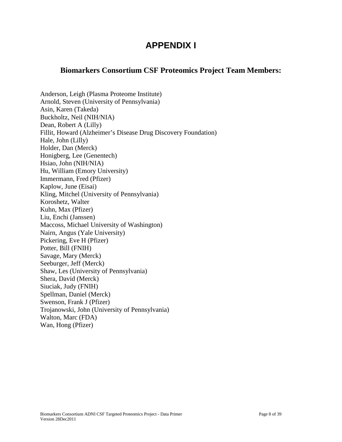### **APPENDIX I**

### **Biomarkers Consortium CSF Proteomics Project Team Members:**

Anderson, Leigh (Plasma Proteome Institute) Arnold, Steven (University of Pennsylvania) Asin, Karen (Takeda) Buckholtz, Neil (NIH/NIA) Dean, Robert A (Lilly) Fillit, Howard (Alzheimer's Disease Drug Discovery Foundation) Hale, John (Lilly) Holder, Dan (Merck) Honigberg, Lee (Genentech) Hsiao, John (NIH/NIA) Hu, William (Emory University) Immermann, Fred (Pfizer) Kaplow, June (Eisai) Kling, Mitchel (University of Pennsylvania) Koroshetz, Walter Kuhn, Max (Pfizer) Liu, Enchi (Janssen) Maccoss, Michael University of Washington) Nairn, Angus (Yale University) Pickering, Eve H (Pfizer) Potter, Bill (FNIH) Savage, Mary (Merck) Seeburger, Jeff (Merck) Shaw, Les (University of Pennsylvania) Shera, David (Merck) Siuciak, Judy (FNIH) Spellman, Daniel (Merck) Swenson, Frank J (Pfizer) Trojanowski, John (University of Pennsylvania) Walton, Marc (FDA) Wan, Hong (Pfizer)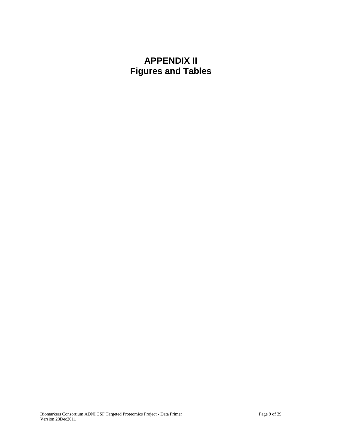## **APPENDIX II Figures and Tables**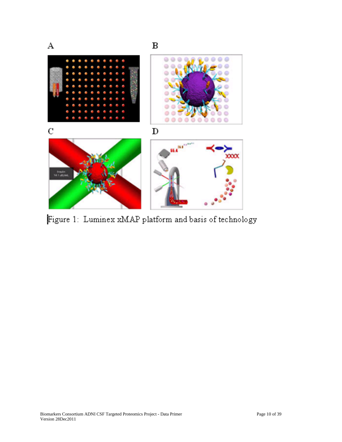

Figure 1: Luminex xMAP platform and basis of technology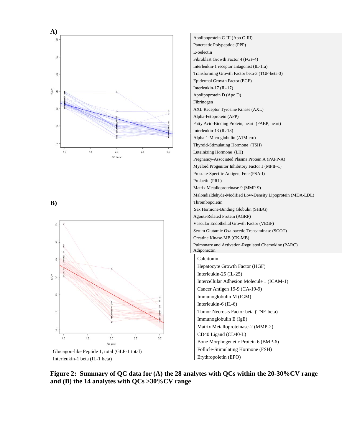

**B)**





**Figure 2: Summary of QC data for (A) the 28 analytes with QCs within the 20-30%CV range and (B) the 14 analytes with QCs >30%CV range**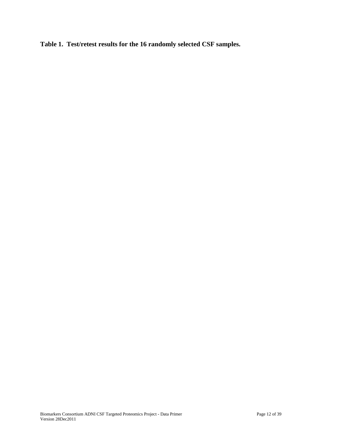**Table 1. Test/retest results for the 16 randomly selected CSF samples.**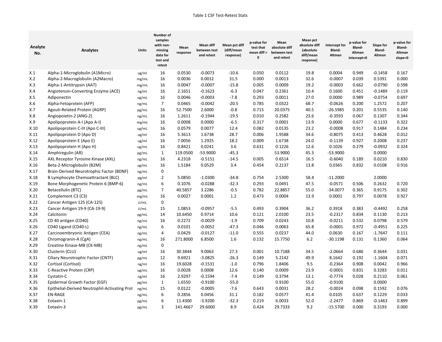| Analyte<br>No. | <b>Analytes</b>                               | Units | Number of<br>samples<br>with non-<br>missing<br>data for<br>test and<br>retest | Mean<br>response | <b>Mean diff</b><br>between test<br>and retest | Mean pct diff<br>(diff/mean<br>response) | p-value for<br>test that<br>mean diff $=$<br>$\mathbf{0}$ | Mean<br>absolute diff<br>between test<br>and retest | Mean pct<br>absolute diff<br>(absolute<br>diff/mean<br>response) | Intercept for<br><b>Bland-</b><br>Altman | p-value for<br>Bland-<br>Altman<br>intercept=0 | Slope for<br>Bland-<br>Altman | p-value for<br>Bland-<br>Altman<br>slope=0 |
|----------------|-----------------------------------------------|-------|--------------------------------------------------------------------------------|------------------|------------------------------------------------|------------------------------------------|-----------------------------------------------------------|-----------------------------------------------------|------------------------------------------------------------------|------------------------------------------|------------------------------------------------|-------------------------------|--------------------------------------------|
| X.1            | Alpha-1-Microglobulin (A1Micro)               | ug/ml | 16                                                                             | 0.0530           | $-0.0073$                                      | $-10.6$                                  | 0.050                                                     | 0.0112                                              | 19.8                                                             | 0.0004                                   | 0.949                                          | $-0.1458$                     | 0.167                                      |
| X.2            | Alpha-2-Macroglobulin (A2Macro)               | mg/mL | 16                                                                             | 0.0036           | 0.0012                                         | 31.5                                     | 0.000                                                     | 0.0013                                              | 32.6                                                             | $-0.0007$                                | 0.039                                          | 0.5391                        | 0.000                                      |
| X.3            | Alpha-1-Antitrypsin (AAT)                     | mg/mL | 16                                                                             | 0.0047           | $-0.0007$                                      | $-15.8$                                  | 0.005                                                     | 0.0009                                              | 19.2                                                             | $-0.0003$                                | 0.662                                          | $-0.0790$                     | 0.598                                      |
| X.4            | Angiotensin-Converting Enzyme (ACE)           | ng/ml | 16                                                                             | 2.1651           | $-0.1623$                                      | $-6.3$                                   | 0.047                                                     | 0.2361                                              | 10.4                                                             | 0.1600                                   | 0.451                                          | $-0.1489$                     | 0.119                                      |
| X.5            | Adiponectin                                   | ug/mL | 16                                                                             | 0.0046           | $-0.0003$                                      | $-7.8$                                   | 0.293                                                     | 0.0011                                              | 27.0                                                             | 0.0000                                   | 0.989                                          | $-0.0754$                     | 0.697                                      |
| X.6            | Alpha-Fetoprotein (AFP)                       | ng/mL | $\overline{7}$                                                                 | 0.0465           | $-0.0042$                                      | $-20.5$                                  | 0.785                                                     | 0.0322                                              | 68.7                                                             | $-0.0626$                                | 0.200                                          | 1.2572                        | 0.207                                      |
| X.7            | Agouti-Related Protein (AGRP)                 | pg/mL | 16                                                                             | 52.7500          | 2.6000                                         | $-0.8$                                   | 0.715                                                     | 20.0375                                             | 40.5                                                             | $-26.5985$                               | 0.201                                          | 0.5535                        | 0.140                                      |
| X.8            | Angiopoietin-2 (ANG-2)                        | ng/mL | 16                                                                             | 1.2611           | $-0.1944$                                      | $-19.5$                                  | 0.010                                                     | 0.2582                                              | 23.6                                                             | $-0.3593$                                | 0.067                                          | 0.1307                        | 0.344                                      |
| X.9            | Apolipoprotein A-I (Apo A-I)                  | mg/mL | 16                                                                             | 0.0008           | 0.0000                                         | $-6.5$                                   | 0.317                                                     | 0.0001                                              | 13.9                                                             | 0.0000                                   | 0.677                                          | $-0.1133$                     | 0.322                                      |
| X.10           | Apolipoprotein C-III (Apo C-III)              | ug/mL | 16                                                                             | 0.0579           | 0.0077                                         | 12.4                                     | 0.082                                                     | 0.0135                                              | 23.2                                                             | $-0.0008$                                | 0.917                                          | 0.1484                        | 0.234                                      |
| X.11           | Apolipoprotein D (Apo D)                      | ug/ml | 16                                                                             | 5.3613           | 1.6738                                         | 28.7                                     | 0.006                                                     | 1.9588                                              | 34.6                                                             | $-0.8075$                                | 0.413                                          | 0.4628                        | 0.012                                      |
| X.12           | Apolipoprotein E (Apo E)                      | ug/ml | 16                                                                             | 7.0056           | 1.2925                                         | 18.2                                     | 0.009                                                     | 1.6738                                              | 24.0                                                             | $-0.1139$                                | 0.927                                          | 0.2008                        | 0.237                                      |
| X.13           | Apolipoprotein H (Apo H)                      | ug/mL | 16                                                                             | 0.8421           | 0.0241                                         | 3.6                                      | 0.631                                                     | 0.1226                                              | 12.6                                                             | 0.1026                                   | 0.279                                          | $-0.0932$                     | 0.324                                      |
| X.14           | Amphiregulin (AR)                             | pg/mL | $\mathbf{1}$                                                                   | 119.0500         | -53.9000                                       | $-45.3$                                  |                                                           | 53.9000                                             | 45.3                                                             | $-53.9000$                               |                                                | 0.0000                        |                                            |
| X.15           | AXL Receptor Tyrosine Kinase (AXL)            | ng/mL | 16                                                                             | 4.2318           | $-0.5151$                                      | $-14.5$                                  | 0.005                                                     | 0.6514                                              | 16.5                                                             | $-0.6040$                                | 0.189                                          | 0.0210                        | 0.830                                      |
| X.16           | Beta-2-Microglobulin (B2M)                    | ug/mL | 16                                                                             | 1.5184           | 0.0529                                         | 3.4                                      | 0.454                                                     | 0.2137                                              | 13.8                                                             | 0.0365                                   | 0.832                                          | 0.0108                        | 0.916                                      |
| X.17           | Brain-Derived Neurotrophic Factor (BDNF)      | ng/mL | $\pmb{0}$                                                                      |                  |                                                |                                          |                                                           |                                                     |                                                                  |                                          |                                                |                               |                                            |
| X.18           | B Lymphocyte Chemoattractant (BLC)            | pg/ml | $\overline{2}$                                                                 | 5.0850           | $-1.0300$                                      | $-34.8$                                  | 0.754                                                     | 2.5300                                              | 58.4                                                             | $-11.2000$                               |                                                | 2.0000                        |                                            |
| X.19           | Bone Morphogenetic Protein 6 (BMP-6)          | ng/mL | 6                                                                              | 0.1076           | $-0.0288$                                      | $-32.3$                                  | 0.293                                                     | 0.0491                                              | 47.5                                                             | $-0.0571$                                | 0.506                                          | 0.2632                        | 0.720                                      |
| X.20           | Betacellulin (BTC)                            | pg/mL | $\overline{7}$                                                                 | 40.5857          | 3.2286                                         | $-0.5$                                   | 0.782                                                     | 22.8857                                             | 55.0                                                             | $-34.0077$                               | 0.365                                          | 0.9175                        | 0.302                                      |
| X.21           | Complement C3 (C3)                            | mg/mL | 16                                                                             | 0.0027           | 0.0001                                         | 1.2                                      | 0.473                                                     | 0.0004                                              | 13.9                                                             | 0.0001                                   | 0.797                                          | 0.0078                        | 0.927                                      |
| X.22           | Cancer Antigen 125 (CA-125)                   | U/mL  | $\mathbf 0$                                                                    |                  |                                                |                                          |                                                           |                                                     |                                                                  |                                          |                                                |                               |                                            |
| X.23           | Cancer Antigen 19-9 (CA-19-9)                 | U/mL  | 15                                                                             | 1.0853           | $-0.0957$                                      | $-5.5$                                   | 0.493                                                     | 0.3904                                              | 36.2                                                             | 0.3918                                   | 0.383                                          | $-0.4492$                     | 0.258                                      |
| X.24           | Calcitonin                                    | pg/mL | 14                                                                             | 10.6450          | 0.9714                                         | 10.6                                     | 0.121                                                     | 2.0100                                              | 23.5                                                             | $-0.2317$                                | 0.834                                          | 0.1130                        | 0.213                                      |
| X.25           | CD 40 antigen (CD40)                          | ng/mL | 16                                                                             | 0.2272           | $-0.0029$                                      | $-1.9$                                   | 0.709                                                     | 0.0243                                              | 10.8                                                             | $-0.0211$                                | 0.532                                          | 0.0798                        | 0.579                                      |
| X.26           | CD40 Ligand (CD40-L)                          | ng/mL | 6                                                                              | 0.0101           | $-0.0052$                                      | $-47.3$                                  | 0.046                                                     | 0.0063                                              | 65.8                                                             | $-0.0001$                                | 0.972                                          | $-0.4951$                     | 0.225                                      |
| X.27           | Carcinoembryonic Antigen (CEA)                | ng/mL | $\overline{a}$                                                                 | 0.0429           | $-0.0127$                                      | $-11.0$                                  | 0.555                                                     | 0.0237                                              | 44.0                                                             | 0.0630                                   | 0.167                                          | $-1.7647$                     | 0.111                                      |
| X.28           | Chromogranin-A (CgA)                          | ng/mL | 16                                                                             | 271.8000         | 6.8500                                         | 1.6                                      | 0.132                                                     | 15.7750                                             | 6.2                                                              | $-30.1198$                               | 0.131                                          | 0.1360                        | 0.064                                      |
| X.29           | Creatine Kinase-MB (CK-MB)                    | ng/mL | $\pmb{0}$                                                                      |                  |                                                |                                          |                                                           |                                                     |                                                                  |                                          |                                                |                               |                                            |
| X.30           | Clusterin (CLU)                               | ug/ml | 16                                                                             | 30.3844          | 9.0063                                         | 27.3                                     | 0.001                                                     | 10.7188                                             | 34.5                                                             | $-2.0664$                                | 0.686                                          | 0.3644                        | 0.031                                      |
| X.31           | Ciliary Neurotrophic Factor (CNTF)            | pg/mL | 12                                                                             | 9.6921           | $-3.0825$                                      | $-26.3$                                  | 0.149                                                     | 5.2142                                              | 49.9                                                             | 8.1642                                   | 0.192                                          | $-1.1604$                     | 0.071                                      |
| X.32           | Cortisol (Cortisol)                           | ng/ml | 16                                                                             | 19.6028          | $-0.1531$                                      | $-1.0$                                   | 0.796                                                     | 1.8406                                              | 9.5                                                              | $-0.2364$                                | 0.908                                          | 0.0042                        | 0.966                                      |
| X.33           | C-Reactive Protein (CRP)                      | ug/mL | 16                                                                             | 0.0028           | 0.0008                                         | 12.6                                     | 0.140                                                     | 0.0009                                              | 23.9                                                             | $-0.0001$                                | 0.831                                          | 0.3283                        | 0.011                                      |
| X.34           | Cystatin-C                                    | ng/ml | 16                                                                             | 2.9297           | $-0.1594$                                      | $-7.4$                                   | 0.149                                                     | 0.3794                                              | 13.1                                                             | $-0.7774$                                | 0.028                                          | 0.2110                        | 0.061                                      |
| X.35           | Epidermal Growth Factor (EGF)                 | pg/mL | $\mathbf{1}$<br>15                                                             | 1.6550<br>0.0122 | $-0.9100$<br>$-0.0005$                         | $-55.0$<br>$-7.6$                        | 0.643                                                     | 0.9100<br>0.0031                                    | 55.0<br>28.2                                                     | $-0.9100$<br>$-0.0024$                   | 0.098                                          | 0.0000                        | 0.076                                      |
| X.36           | Epithelial-Derived Neutrophil-Activating Prot | ng/mL |                                                                                | 0.2856           | 0.0456                                         |                                          | 0.182                                                     | 0.0577                                              | 41.4                                                             | 0.0105                                   | 0.637                                          | 0.1592<br>0.1229              | 0.033                                      |
| X.37<br>X.38   | <b>EN-RAGE</b>                                | ng/mL | 6<br>6                                                                         | 11.4300          | $-3.9200$                                      | 31.1<br>$-32.3$                          | 0.219                                                     | 6.0033                                              | 52.0                                                             | $-2.2477$                                | 0.869                                          | $-0.1463$                     | 0.899                                      |
|                | Eotaxin-1                                     | pg/mL | $\overline{3}$                                                                 |                  |                                                |                                          |                                                           |                                                     |                                                                  |                                          |                                                |                               |                                            |
| X.39           | Eotaxin-3                                     | pg/mL |                                                                                | 141.4667         | 29.6000                                        | 8.9                                      | 0.424                                                     | 29.7333                                             | 9.2                                                              | $-15.5700$                               | 0.000                                          | 0.3193                        | 0.000                                      |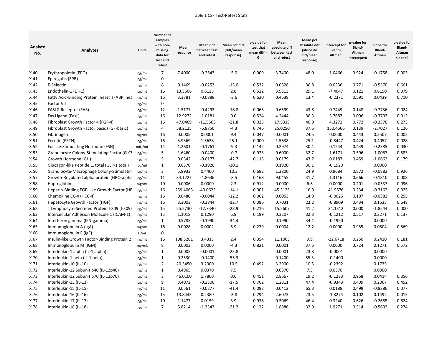| Analyte<br>No. | <b>Analytes</b>                              | Units  | Number of<br>samples<br>with non-<br>missing<br>data for<br>test and<br>retest | Mean<br>response | <b>Mean diff</b><br>between test<br>and retest | Mean pct diff<br>(diff/mean<br>response) | p-value for<br>test that<br>mean diff =<br>0 | Mean<br>absolute diff<br>between test<br>and retest | Mean pct<br>absolute diff<br>(absolute<br>diff/mean<br>response) | Intercept for<br>Bland-<br>Altman | p-value for<br>Bland-<br>Altman<br>intercept=0 | Slope for<br>Bland-<br>Altman | p-value for<br>Bland-<br>Altman<br>slope=0 |
|----------------|----------------------------------------------|--------|--------------------------------------------------------------------------------|------------------|------------------------------------------------|------------------------------------------|----------------------------------------------|-----------------------------------------------------|------------------------------------------------------------------|-----------------------------------|------------------------------------------------|-------------------------------|--------------------------------------------|
| X.40           | Erythropoietin (EPO)                         | pg/mL  | 7                                                                              | 7.4000           | $-0.2543$                                      | $-5.0$                                   | 0.909                                        | 3.7400                                              | 48.0                                                             | 1.0466                            | 0.924                                          | $-0.1758$                     | 0.903                                      |
| X.41           | Epiregulin (EPR)                             | pg/mL  | 0                                                                              |                  |                                                |                                          |                                              |                                                     |                                                                  |                                   |                                                |                               |                                            |
| X.42           | E-Selectin                                   | ng/mL  | 8                                                                              | 0.1469           | $-0.0253$                                      | $-15.0$                                  | 0.532                                        | 0.0628                                              | 36.8                                                             | 0.0536                            | 0.771                                          | $-0.5370$                     | 0.661                                      |
| X.43           | Endothelin-1 (ET-1)                          | pg/mL  | 16                                                                             | 13.3606          | 0.8125                                         | 2.8                                      | 0.522                                        | 3.9313                                              | 29.1                                                             | $-7.4047$                         | 0.121                                          | 0.6150                        | 0.079                                      |
| X.44           | Fatty Acid-Binding Protein, heart (FABP, hea | ng/mL  | 16                                                                             | 3.3781           | $-0.0888$                                      | $-3.6$                                   | 0.620                                        | 0.4638                                              | 13.4                                                             | $-0.2371$                         | 0.591                                          | 0.0439                        | 0.710                                      |
| X.45           | <b>Factor VII</b>                            | ng/mL  | 0                                                                              |                  |                                                |                                          |                                              |                                                     |                                                                  |                                   |                                                |                               |                                            |
| X.46           | <b>FASLG Receptor (FAS)</b>                  | ng/mL  | 12                                                                             | 1.5177           | $-0.4293$                                      | $-18.8$                                  | 0.065                                        | 0.6599                                              | 43.8                                                             | 0.7449                            | 0.148                                          | $-0.7736$                     | 0.024                                      |
| X.47           | Fas Ligand (FasL)                            | pg/mL  | 16                                                                             | 12.9272          | $-1.0181$                                      | 0.0                                      | 0.524                                        | 4.2444                                              | 36.3                                                             | 3.7687                            | 0.096                                          | $-0.3703$                     | 0.013                                      |
| X.48           | Fibroblast Growth Factor 4 (FGF-4)           | pg/mL  | 16                                                                             | 47.0469          | $-11.5563$                                     | $-21.8$                                  | 0.025                                        | 17.5313                                             | 40.0                                                             | 4.3272                            | 0.772                                          | $-0.3376$                     | 0.273                                      |
| X.49           | Fibroblast Growth Factor basic (FGF-basic)   | pg/mL  | 4                                                                              | 58.2125          | $-6.8750$                                      | $-4.3$                                   | 0.746                                        | 25.0250                                             | 37.6                                                             | 150.4566                          | 0.139                                          | $-2.7027$                     | 0.126                                      |
| X.50           | Fibrinogen                                   | mg/mL  | 16                                                                             | 0.0005           | 0.0001                                         | 9.4                                      | 0.047                                        | 0.0001                                              | 24.5                                                             | 0.0000                            | 0.443                                          | 0.2507                        | 0.005                                      |
| X.51           | Ferritin (FRTN)                              | ng/mL  | 16                                                                             | 5.9369           | 1.5638                                         | 25.1                                     | 0.000                                        | 1.5638                                              | 25.1                                                             | $-0.8447$                         | 0.424                                          | 0.4057                        | 0.028                                      |
| X.52           | Follicle-Stimulating Hormone (FSH)           | mIU/mL | 14                                                                             | 1.2601           | $-0.1761$                                      | $-9.3$                                   | 0.142                                        | 0.2974                                              | 30.4                                                             | 0.1244                            | 0.439                                          | $-0.2385$                     | 0.030                                      |
| X.53           | Granulocyte Colony-Stimulating Factor (G-CS  | pg/mL  | 5                                                                              | 1.6460           | $-0.0400$                                      | $-0.7$                                   | 0.923                                        | 0.6000                                              | 32.7                                                             | 1.6171                            | 0.596                                          | $-1.0067$                     | 0.583                                      |
| X.54           | Growth Hormone (GH)                          | ng/mL  | 5                                                                              | 0.0342           | $-0.0177$                                      | $-42.7$                                  | 0.115                                        | 0.0179                                              | 43.7                                                             | 0.0187                            | 0.459                                          | $-1.0662$                     | 0.179                                      |
| X.55           | Glucagon-like Peptide 1, total (GLP-1 total) | pg/ml  | $\mathbf{1}$                                                                   | 0.6370           | $-0.1920$                                      | $-30.1$                                  |                                              | 0.1920                                              | 30.1                                                             | $-0.1920$                         |                                                | 0.0000                        |                                            |
| X.56           | Granulocyte-Macrophage Colony-Stimulating    | pg/mL  | 3                                                                              | 5.9933           | 0.4400                                         | 10.3                                     | 0.682                                        | 1.3800                                              | 24.9                                                             | 0.9684                            | 0.872                                          | $-0.0882$                     | 0.926                                      |
| X.57           | Growth-Regulated alpha protein (GRO-alpha    | pg/mL  | 11                                                                             | 34.1227          | $-4.8636$                                      | $-8.5$                                   | 0.168                                        | 9.0455                                              | 31.7                                                             | 1.3116                            | 0.666                                          | $-0.1810$                     | 0.008                                      |
| X.58           | Haptoglobin                                  | mg/mL  | 10                                                                             | 0.0006           | 0.0000                                         | 2.3                                      | 0.912                                        | 0.0000                                              | 6.6                                                              | 0.0000                            | 0.201                                          | $-0.0537$                     | 0.096                                      |
| X.59           | Heparin-Binding EGF-Like Growth Factor (HB   | pg/mL  | 16                                                                             | 259.4063         | -40.0625                                       | $-14.1$                                  | 0.001                                        | 45.3125                                             | 16.9                                                             | 41.9676                           | 0.234                                          | $-0.3162$                     | 0.025                                      |
| X.60           | Chemokine CC-4 (HCC-4)                       | ng/mL  | 16                                                                             | 0.0480           | $-0.0044$                                      | $-12.2$                                  | 0.002                                        | 0.0053                                              | 14.0                                                             | $-0.0026$                         | 0.197                                          | $-0.0382$                     | 0.255                                      |
| X.61           | Hepatocyte Growth Factor (HGF)               | ng/mL  | 16                                                                             | 3.3003           | $-0.3844$                                      | $-12.7$                                  | 0.086                                        | 0.7031                                              | 23.2                                                             | $-0.8909$                         | 0.434                                          | 0.1535                        | 0.648                                      |
| X.62           | T Lymphocyte-Secreted Protein I-309 (I-309)  | pg/mL  | 15                                                                             | 25.2730          | $-12.7340$                                     | $-28.9$                                  | 0.216                                        | 15.5607                                             | 41.2                                                             | 34.1312                           | 0.000                                          | $-1.8544$                     | 0.000                                      |
| X.63           | Intercellular Adhesion Molecule 1 (ICAM-1)   | ng/mL  | 15                                                                             | 1.1018           | 0.1290                                         | 5.9                                      | 0.199                                        | 0.3207                                              | 32.3                                                             | $-0.1212$                         | 0.517                                          | 0.2271                        | 0.137                                      |
| X.64           | Interferon gamma (IFN-gamma)                 | pg/mL  | $\mathbf{1}$                                                                   | 0.5785           | $-0.1990$                                      | $-34.4$                                  |                                              | 0.1990                                              | 34.4                                                             | $-0.1990$                         |                                                | 0.0000                        |                                            |
| X.65           | Immunoglobulin A (IgA)                       | mg/mL  | 16                                                                             | 0.0028           | 0.0002                                         | 5.9                                      | 0.279                                        | 0.0004                                              | 12.2                                                             | 0.0000                            | 0.935                                          | 0.0504                        | 0.569                                      |
| X.66           | Immunoglobulin E (IgE)                       | U/mL   | $\pmb{0}$                                                                      |                  |                                                |                                          |                                              |                                                     |                                                                  |                                   |                                                |                               |                                            |
| X.67           | Insulin-like Growth Factor-Binding Protein 2 | ng/mL  | 16                                                                             | 108.3281         | 3.4313                                         | 2.4                                      | 0.354                                        | 11.1063                                             | 9.9                                                              | $-22.6718$                        | 0.250                                          | 0.2410                        | 0.181                                      |
| X.68           | Immunoglobulin M (IGM)                       | mg/mL  | 8                                                                              | 0.0003           | 0.0000                                         | $-4.3$                                   | 0.821                                        | 0.0001                                              | 37.6                                                             | 0.0000                            | 0.724                                          | 0.1271                        | 0.572                                      |
| X.69           | Interleukin-1 alpha (IL-1 alpha)             | ng/mL  | $\mathbf{1}$                                                                   | 0.0005           | $-0.0001$                                      | $-23.8$                                  |                                              | 0.0001                                              | 23.8                                                             | $-0.0001$                         |                                                | 0.0000                        |                                            |
| X.70           | Interleukin-1 beta (IL-1 beta)               | pg/mL  | $\mathbf{1}$                                                                   | 0.2530           | $-0.1400$                                      | $-55.3$                                  |                                              | 0.1400                                              | 55.3                                                             | $-0.1400$                         |                                                | 0.0000                        |                                            |
| X.71           | Interleukin-10 (IL-10)                       | pg/mL  | $\overline{2}$                                                                 | 20.3450          | 3.2900                                         | 10.5                                     | 0.492                                        | 3.2900                                              | 10.5                                                             | $-0.2392$                         |                                                | 0.1735                        |                                            |
| X.72           | Interleukin-12 Subunit p40 (IL-12p40)        | ng/mL  | $\mathbf 1$                                                                    | 0.4965           | 0.0370                                         | 7.5                                      |                                              | 0.0370                                              | 7.5                                                              | 0.0370                            |                                                | 0.0000                        |                                            |
| X.73           | Interleukin-12 Subunit p70 (IL-12p70)        | pg/mL  | 3                                                                              | 46.0100          | 1.7800                                         | 0.6                                      | 0.451                                        | 2.8667                                              | 19.2                                                             | $-0.1233$                         | 0.958                                          | 0.0414                        | 0.356                                      |
| X.74           | Interleukin-13 (IL-13)                       | pg/mL  | 9                                                                              | 3.4072           | $-0.2300$                                      | $-17.5$                                  | 0.702                                        | 1.2811                                              | 47.4                                                             | $-0.9343$                         | 0.409                                          | 0.2067                        | 0.452                                      |
| X.75           | Interleukin-15 (IL-15)                       | ng/mL  | 11                                                                             | 0.0561           | $-0.0277$                                      | $-41.4$                                  | 0.092                                        | 0.0412                                              | 65.3                                                             | 0.0188                            | 0.499                                          | $-0.8286$                     | 0.077                                      |
| X.76           | Interleukin-16 (IL-16)                       | pg/mL  | 15                                                                             | 13.8443          | 0.2380                                         | $-3.8$                                   | 0.794                                        | 2.6073                                              | 23.5                                                             | $-1.8274$                         | 0.102                                          | 0.1492                        | 0.015                                      |
| X.77           | Interleukin-17 (IL-17)                       | pg/mL  | 10                                                                             | 1.1477           | 0.0159                                         | 3.9                                      | 0.938                                        | 0.5069                                              | 46.4                                                             | 0.3240                            | 0.626                                          | $-0.2685$                     | 0.624                                      |
| X.78           | Interleukin-18 (IL-18)                       | pg/mL  | $\overline{7}$                                                                 | 5.8214           | $-1.3343$                                      | $-21.2$                                  | 0.122                                        | 1.8886                                              | 32.9                                                             | 1.9271                            | 0.514                                          | $-0.5602$                     | 0.274                                      |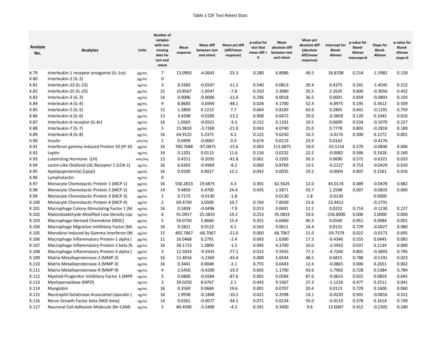| Analyte<br>No. | <b>Analytes</b>                              | <b>Units</b> | Number of<br>samples<br>with non-<br>missing<br>data for<br>test and<br>retest | Mean<br>response | Mean diff<br>between test<br>and retest | Mean pct diff<br>(diff/mean<br>response) | p-value for<br>test that<br>mean diff $=$<br>0 | Mean<br>absolute diff<br>between test<br>and retest | Mean pct<br>absolute diff<br>(absolute<br>diff/mean<br>response) | Intercept for<br>Bland-<br>Altman | p-value for<br>Bland-<br>Altman<br>intercept=0 | Slope for<br>Bland-<br>Altman | p-value for<br>Bland-<br>Altman<br>slope=0 |
|----------------|----------------------------------------------|--------------|--------------------------------------------------------------------------------|------------------|-----------------------------------------|------------------------------------------|------------------------------------------------|-----------------------------------------------------|------------------------------------------------------------------|-----------------------------------|------------------------------------------------|-------------------------------|--------------------------------------------|
| X.79           | Interleukin-1 receptor antagonist (IL-1ra)   | pg/mL        | 7                                                                              | 13.0993          | $-4.0643$                               | $-25.3$                                  | 0.280                                          | 6.8986                                              | 49.5                                                             | 16.8708                           | 0.214                                          | $-1.5982$                     | 0.128                                      |
| X.80           | Interleukin-2 (IL-2)                         | pg/mL        | 0                                                                              |                  |                                         |                                          |                                                |                                                     |                                                                  |                                   |                                                |                               |                                            |
| X.81           | Interleukin-23 (IL-23)                       | ng/mL        | 3                                                                              | 0.3383           | $-0.0547$                               | $-11.2$                                  | 0.540                                          | 0.0813                                              | 20.4                                                             | 0.4375                            | 0.241                                          | $-1.4545$                     | 0.212                                      |
| X.82           | Interleukin-25 (IL-25)                       | pg/mL        | 15                                                                             | 10.8567          | $-1.0547$                               | $-7.8$                                   | 0.310                                          | 3.3880                                              | 35.5                                                             | 2.2635                            | 0.600                                          | $-0.3056$                     | 0.432                                      |
| X.83           | Interleukin-3 (IL-3)                         | ng/mL        | 16                                                                             | 0.0096           | $-0.0006$                               | $-11.6$                                  | 0.296                                          | 0.0018                                              | 36.5                                                             | 0.0001                            | 0.859                                          | $-0.0803$                     | 0.193                                      |
| X.84           | Interleukin-4 (IL-4)                         | pg/mL        | 9                                                                              | 8.8683           | $-3.6944$                               | $-48.1$                                  | 0.028                                          | 4.1700                                              | 52.4                                                             | $-6.8975$                         | 0.195                                          | 0.3612                        | 0.509                                      |
| X.85           | Interleukin-5 (IL-5)                         | pg/mL        | 12                                                                             | 1.3869           | 0.1213                                  | 7.7                                      | 0.664                                          | 0.8183                                              | 63.6                                                             | 0.2865                            | 0.641                                          | $-0.1191$                     | 0.759                                      |
| X.86           | Interleukin-6 (IL-6)                         | pg/mL        | 13                                                                             | 3.4208           | $-0.0285$                               | $-13.2$                                  | 0.908                                          | 0.6472                                              | 29.0                                                             | $-0.3859$                         | 0.120                                          | 0.1045                        | 0.016                                      |
| X.87           | Interleukin-6 receptor (IL-6r)               | ng/mL        | 16                                                                             | 1.0565           | $-0.0521$                               | $-3.3$                                   | 0.152                                          | 0.1101                                              | 10.5                                                             | 0.0609                            | 0.534                                          | $-0.1070$                     | 0.227                                      |
| X.88           | Interleukin-7 (IL-7)                         | pg/mL        | 5                                                                              | 15.9810          | $-3.7260$                               | $-21.0$                                  | 0.043                                          | 4.0740                                              | 25.0                                                             | 0.7778                            | 0.803                                          | $-0.2818$                     | 0.189                                      |
| X.89           | Interleukin-8 (IL-8)                         | pg/mL        | 16                                                                             | 64.9125          | 5.2375                                  | 6.2                                      | 0.122                                          | 9.6250                                              | 16.5                                                             | $-3.0176$                         | 0.300                                          | 0.1272                        | 0.001                                      |
| X.90           | Insulin                                      | uIU/mL       | $\overline{2}$                                                                 | 0.0499           | $-0.0067$                               | 0.3                                      | 0.674                                          | 0.0119                                              | 23.9                                                             | 0.0142                            |                                                | $-0.4176$                     |                                            |
| X.91           | Interferon gamma Induced Protein 10 (IP-10)  | pg/ml        | 16                                                                             | 760.7688         | -97.0875                                | $-15.6$                                  | 0.003                                          | 113.0875                                            | 19.0                                                             | $-33.5154$                        | 0.270                                          | $-0.0836$                     | 0.006                                      |
| X.92           | Leptin                                       | ng/mL        | 16                                                                             | 0.1201           | 0.0113                                  | 11.6                                     | 0.126                                          | 0.0232                                              | 22.2                                                             | $-0.0082$                         | 0.586                                          | 0.1628                        | 0.160                                      |
| X.93           | Luteinizing Hormone (LH)                     | mIU/mL       | 13                                                                             | 0.4311           | $-0.2035$                               | $-41.8$                                  | 0.001                                          | 0.2205                                              | 50.3                                                             | 0.0690                            | 0.572                                          | $-0.6321$                     | 0.033                                      |
| X.94           | Lectin-Like Oxidized LDL Receptor 1 (LOX-1)  | ng/mL        | 16                                                                             | 6.6303           | $-0.4969$                               | $-8.2$                                   | 0.060                                          | 0.8769                                              | 13.5                                                             | $-0.2127$                         | 0.753                                          | $-0.0429$                     | 0.650                                      |
| X.95           | Apolipoprotein(a) (Lp(a))                    | ug/mL        | 16                                                                             | 0.0200           | 0.0027                                  | 12.2                                     | 0.042                                          | 0.0035                                              | 19.2                                                             | $-0.0004$                         | 0.807                                          | 0.1561                        | 0.016                                      |
| X.96           | Lymphotactin                                 | ng/mL        | 0                                                                              |                  |                                         |                                          |                                                |                                                     |                                                                  |                                   |                                                |                               |                                            |
| X.97           | Monocyte Chemotactic Protein 1 (MCP-1)       | pg/mL        | 16                                                                             | 530.2813         | 19.6875                                 | 4.3                                      | 0.301                                          | 62.5625                                             | 12.0                                                             | 45.0174                           | 0.489                                          | $-0.0478$                     | 0.682                                      |
| X.98           | Monocyte Chemotactic Protein 2 (MCP-2)       | pg/ml        | 14                                                                             | 9.4850           | 0.4700                                  | 24.4                                     | 0.435                                          | 1.5871                                              | 33.7                                                             | 1.2598                            | 0.007                                          | -0.0833                       | 0.000                                      |
| X.99           | Monocyte Chemotactic Protein 3 (MCP-3)       | pg/mL        | 1                                                                              | 0.7175           | $-0.0130$                               | $-1.8$                                   |                                                | 0.0130                                              | 1.8                                                              | $-0.0130$                         |                                                | 0.0000                        |                                            |
| X.100          | Monocyte Chemotactic Protein 4 (MCP-4)       | pg/ml        | $\overline{2}$                                                                 | 69.4750          | 3.0500                                  | 10.7                                     | 0.764                                          | 7.8500                                              | 15.6                                                             | 22.4412                           |                                                | $-0.2791$                     |                                            |
| X.101          | Macrophage Colony-Stimulating Factor 1 (M    | ng/mL        | 16                                                                             | 0.5839           | $-0.0496$                               | $-7.9$                                   | 0.013                                          | 0.0691                                              | 12.2                                                             | 0.0222                            | 0.714                                          | $-0.1230$                     | 0.227                                      |
| X.102          | Malondialdehyde-Modified Low-Density Lipo    | ng/mL        | 6                                                                              | 91.0917          | 25.3833                                 | 19.2                                     | 0.253                                          | 35.0833                                             | 33.6                                                             | -156.8000                         | 0.000                                          | 2.0000                        | 0.000                                      |
| X.103          | Macrophage-Derived Chemokine (MDC)           | pg/mL        | 5                                                                              | 59.0750          | 5.8660                                  | 15.4                                     | 0.351                                          | 6.6460                                              | 40.3                                                             | 0.0540                            | 0.951                                          | 0.0984                        | 0.001                                      |
| X.104          | Macrophage Migration Inhibitory Factor (MI   | ng/mL        | 16                                                                             | 0.2821           | 0.0123                                  | 6.1                                      | 0.563                                          | 0.0611                                              | 24.4                                                             | 0.0131                            | 0.729                                          | $-0.0027$                     | 0.980                                      |
| X.105          | Monokine Induced by Gamma Interferon (M      | pg/ml        | 15                                                                             | 402.7867         | $-66.7067$                              | $-21.0$                                  | 0.000                                          | 66.7067                                             | 21.0                                                             | -59.7579                          | 0.022                                          | $-0.0173$                     | 0.695                                      |
| X.106          | Macrophage Inflammatory Protein-1 alpha (    | pg/mL        | 11                                                                             | 16.0468          | 0.2791                                  | $-2.4$                                   | 0.693                                          | 1.6300                                              | 17.3                                                             | $-0.4346$                         | 0.555                                          | 0.0445                        | 0.083                                      |
| X.107          | Macrophage Inflammatory Protein-1 beta (N    | pg/mL        | 16                                                                             | 34.1713          | 1.2800                                  | $-1.5$                                   | 0.495                                          | 4.3700                                              | 16.0                                                             | $-2.5942$                         | 0.037                                          | 0.1134                        | 0.000                                      |
| X.108          | Macrophage Inflammatory Protein-3 alpha (    | pg/ml        | 3                                                                              | 12.5033          | $-9.5933$                               | $-77.1$                                  | 0.015                                          | 9.5933                                              | 77.1                                                             | $-4.7260$                         | 0.801                                          | $-0.3893$                     | 0.795                                      |
| X.109          | Matrix Metalloproteinase-2 (MMP-2)           | ng/mL        | 16                                                                             | 11.4016          | $-5.2369$                               | $-43.4$                                  | 0.000                                          | 5.6544                                              | 48.5                                                             | 0.6815                            | 0.788                                          | $-0.5191$                     | 0.023                                      |
| X.110          | Matrix Metalloproteinase-3 (MMP-3)           | ng/mL        | 16                                                                             | 0.3441           | 0.0048                                  | $-2.1$                                   | 0.755                                          | 0.0443                                              | 12.4                                                             | $-0.0865$                         | 0.006                                          | 0.2651                        | 0.002                                      |
| X.111          | Matrix Metalloproteinase-9 (MMP-9)           | ng/mL        | 4                                                                              | 2.5450           | $-0.4200$                               | $-19.3$                                  | 0.605                                          | 1.1700                                              | 43.6                                                             | $-1.7902$                         | 0.728                                          | 0.5384                        | 0.784                                      |
| X.112          | Myeloid Progenitor Inhibitory Factor 1 (MPIF | ng/mL        | 5                                                                              | 0.0800           | $-0.0584$                               | $-87.6$                                  | 0.001                                          | 0.0584                                              | 87.6                                                             | $-0.0653$                         | 0.022                                          | 0.0859                        | 0.645                                      |
| X.113          | Myeloperoxidase (MPO)                        | ng/mL        | 3                                                                              | 39.0250          | 8.6767                                  | 2.1                                      | 0.442                                          | 9.5367                                              | 27.3                                                             | $-1.1226$                         | 0.477                                          | 0.2511                        | 0.041                                      |
| X.114          | Myoglobin                                    | ng/mL        | 16                                                                             | 0.3569           | 0.0684                                  | 19.6                                     | 0.001                                          | 0.0707                                              | 20.4                                                             | 0.0113                            | 0.729                                          | 0.1600                        | 0.060                                      |
| X.115          | Neutrophil Gelatinase-Associated Lipocalin ( | ng/ml        | 16                                                                             | 1.9938           | $-0.1848$                               | $-10.2$                                  | 0.021                                          | 0.2598                                              | 14.1                                                             | $-0.0220$                         | 0.901                                          | $-0.0816$                     | 0.322                                      |
| X.116          | Nerve Growth Factor beta (NGF-beta)          | ng/mL        | 14                                                                             | 0.0261           | -0.0077                                 | -34.1                                    | 0.071                                          | 0.0134                                              | 55.0                                                             | $-0.0119$                         | 0.378                                          | 0.1614                        | 0.739                                      |
| X.117          | Neuronal Cell Adhesion Molecule (Nr-CAM)     | ng/mL        | 5                                                                              | 80.4500          | $-5.5400$                               | $-4.2$                                   | 0.391                                          | 9.3400                                              | 9.6                                                              | 13.0047                           | 0.412                                          | $-0.2305$                     | 0.240                                      |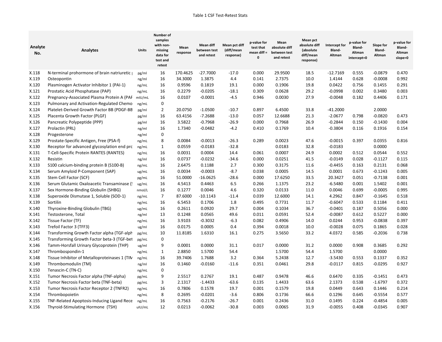| Analyte<br>No. | <b>Analytes</b>                                                                   | Units          | Number of<br>samples<br>with non-<br>missing<br>data for<br>test and<br>retest | Mean<br>response | <b>Mean diff</b><br>between test<br>and retest | Mean pct diff<br>(diff/mean<br>response) | p-value for<br>test that<br>mean diff $=$<br>$\mathbf{0}$ | Mean<br>absolute diff<br>between test<br>and retest | <b>Mean pct</b><br>absolute diff<br>(absolute<br>diff/mean<br>response) | Intercept for<br>Bland-<br>Altman | p-value for<br>Bland-<br>Altman<br>intercept=0 | Slope for<br>Bland-<br>Altman | p-value for<br>Bland-<br>Altman<br>slope=0 |
|----------------|-----------------------------------------------------------------------------------|----------------|--------------------------------------------------------------------------------|------------------|------------------------------------------------|------------------------------------------|-----------------------------------------------------------|-----------------------------------------------------|-------------------------------------------------------------------------|-----------------------------------|------------------------------------------------|-------------------------------|--------------------------------------------|
| X.118          | N-terminal prohormone of brain natriuretic                                        | pg/ml          | 16                                                                             | 170.4625         | $-27.7000$                                     | $-17.0$                                  | 0.000                                                     | 29.9500                                             | 18.5                                                                    | $-12.7169$                        | 0.555                                          | $-0.0879$                     | 0.470                                      |
| X.119          | Osteopontin                                                                       | ng/ml          | 16                                                                             | 34.3000          | 1.3875                                         | 4.4                                      | 0.141                                                     | 2.7375                                              | 10.0                                                                    | 1.4144                            | 0.628                                          | $-0.0008$                     | 0.992                                      |
| X.120          | Plasminogen Activator Inhibitor 1 (PAI-1)                                         | ng/mL          | 16                                                                             | 0.9596           | 0.1819                                         | 19.1                                     | 0.000                                                     | 0.1906                                              | 19.8                                                                    | 0.0422                            | 0.756                                          | 0.1455                        | 0.291                                      |
| X.121          | Prostatic Acid Phosphatase (PAP)                                                  | ng/mL          | 16                                                                             | 0.2279           | $-0.0205$                                      | $-18.1$                                  | 0.309                                                     | 0.0628                                              | 29.2                                                                    | $-0.0998$                         | 0.002                                          | 0.3480                        | 0.003                                      |
| X.122          | Pregnancy-Associated Plasma Protein A (PAF mIU/mL                                 |                | 16                                                                             | 0.0107           | $-0.0001$                                      | -4.5                                     | 0.946                                                     | 0.0030                                              | 27.9                                                                    | $-0.0048$                         | 0.182                                          | 0.4406                        | 0.171                                      |
| X.123          | Pulmonary and Activation-Regulated Chemo                                          | ng/mL          | $\pmb{0}$                                                                      |                  |                                                |                                          |                                                           |                                                     |                                                                         |                                   |                                                |                               |                                            |
| X.124          | Platelet-Derived Growth Factor BB (PDGF-BB                                        | pg/ml          | $\overline{2}$                                                                 | 20.0750          | $-1.0500$                                      | $-10.7$                                  | 0.897                                                     | 6.4500                                              | 33.8                                                                    | $-41.2000$                        |                                                | 2.0000                        |                                            |
| X.125          | Placenta Growth Factor (PLGF)                                                     | pg/ml          | 16                                                                             | 63.4156          | $-7.2688$                                      | $-13.0$                                  | 0.057                                                     | 12.6688                                             | 21.3                                                                    | $-2.0677$                         | 0.798                                          | $-0.0820$                     | 0.473                                      |
| X.126          | Pancreatic Polypeptide (PPP)                                                      | pg/ml          | 16                                                                             | 3.5822           | $-0.7968$                                      | $-26.9$                                  | 0.000                                                     | 0.7968                                              | 26.9                                                                    | $-0.2844$                         | 0.150                                          | $-0.1430$                     | 0.004                                      |
| X.127          | Prolactin (PRL)                                                                   | ng/ml          | 16                                                                             | 1.7340           | $-0.0482$                                      | $-4.2$                                   | 0.410                                                     | 0.1769                                              | 10.4                                                                    | $-0.3804$                         | 0.116                                          | 0.1916                        | 0.154                                      |
| X.128          | Progesterone                                                                      | ng/ml          | $\mathbf 0$                                                                    |                  |                                                |                                          |                                                           |                                                     |                                                                         |                                   |                                                |                               |                                            |
| X.129          | Prostate-Specific Antigen, Free (PSA-f)                                           | ng/mL          | 8                                                                              | 0.0084           | $-0.0013$                                      | $-26.3$                                  | 0.289                                                     | 0.0023                                              | 47.6                                                                    | $-0.0015$                         | 0.397                                          | 0.0355                        | 0.816                                      |
| X.130          | Receptor for advanced glycosylation end prc                                       | ng/mL          | $\mathbf{1}$                                                                   | 0.0559           | $-0.0183$                                      | $-32.8$                                  |                                                           | 0.0183                                              | 32.8                                                                    | $-0.0183$                         |                                                | 0.0000                        |                                            |
| X.131          | T-Cell-Specific Protein RANTES (RANTES)                                           | ng/mL          | 16                                                                             | 0.0031           | 0.0004                                         | 14.4                                     | 0.061                                                     | 0.0007                                              | 24.9                                                                    | 0.0002                            | 0.512                                          | 0.0544                        | 0.552                                      |
| X.132          | Resistin                                                                          | ng/ml          | 16                                                                             | 0.0737           | $-0.0232$                                      | $-34.6$                                  | 0.000                                                     | 0.0251                                              | 41.5                                                                    | $-0.0149$                         | 0.028                                          | -0.1127                       | 0.115                                      |
| X.133          | S100 calcium-binding protein B (S100-B)                                           | ng/mL          | 16                                                                             | 2.6475           | 0.1188                                         | 2.7                                      | 0.300                                                     | 0.3175                                              | 11.6                                                                    | $-0.4455$                         | 0.163                                          | 0.2131                        | 0.068                                      |
| X.134          | Serum Amyloid P-Component (SAP)                                                   | ug/mL          | 16                                                                             | 0.0034           | $-0.0003$                                      | -8.7                                     | 0.038                                                     | 0.0005                                              | 14.5                                                                    | 0.0001                            | 0.673                                          | $-0.1243$                     | 0.005                                      |
| X.135          | Stem Cell Factor (SCF)                                                            | pg/mL          | 16                                                                             | 51.0000          | $-16.0625$                                     | $-28.6$                                  | 0.000                                                     | 17.6250                                             | 33.5                                                                    | 20.3427                           | 0.051                                          | $-0.7138$                     | 0.001                                      |
| X.136          | Serum Glutamic Oxaloacetic Transaminase (                                         | ug/mL          | 16                                                                             | 4.5413           | 0.4463                                         | 6.5                                      | 0.266                                                     | 1.1375                                              | 23.2                                                                    | $-6.5480$                         | 0.001                                          | 1.5402                        | 0.001                                      |
| X.137          | Sex Hormone-Binding Globulin (SHBG)                                               | nmol/L         | 16                                                                             | 0.1277           | 0.0046                                         | 4.6                                      | 0.320                                                     | 0.0133                                              | 11.0                                                                    | 0.0046                            | 0.699                                          | $-0.0005$                     | 0.995                                      |
| X.138          | Superoxide Dismutase 1, Soluble (SOD-1)                                           | ng/mL          | $\overline{7}$                                                                 | 87.6000          | $-10.1143$                                     | $-11.4$                                  | 0.039                                                     | 12.6000                                             | 14.1                                                                    | 4.2962                            | 0.847                                          | $-0.1645$                     | 0.518                                      |
| X.139          | Sortilin                                                                          | ng/mL          | 16                                                                             | 6.5453           | 0.1706                                         | 1.8                                      | 0.495                                                     | 0.7731                                              | 11.7                                                                    | $-0.6047$                         | 0.533                                          | 0.1184                        | 0.411                                      |
| X.140          | Thyroxine-Binding Globulin (TBG)                                                  | ug/mL          | 16                                                                             | 0.2611           | 0.0920                                         | 29.7                                     | 0.004                                                     | 0.1034                                              | 36.7                                                                    | $-0.0401$                         | 0.187                                          | 0.5056                        | 0.000                                      |
| X.141          | Testosterone, Total                                                               | ng/ml          | 13                                                                             | 0.1248           | 0.0565                                         | 49.6                                     | 0.011                                                     | 0.0591                                              | 52.4                                                                    | $-0.0087$                         | 0.612                                          | 0.5227                        | 0.000                                      |
| X.142          | Tissue Factor (TF)                                                                | ng/mL          | 16                                                                             | 3.9103           | $-0.3032$                                      | $-6.3$                                   | 0.082                                                     | 0.4906                                              | 14.0                                                                    | 0.0244                            | 0.953                                          | $-0.0838$                     | 0.397                                      |
| X.143          | Trefoil Factor 3 (TFF3)                                                           | ug/ml          | 16                                                                             | 0.0175           | 0.0005                                         | 0.4                                      | 0.394                                                     | 0.0018                                              | 10.0                                                                    | $-0.0028$                         | 0.075                                          | 0.1865                        | 0.028                                      |
| X.144          | Transforming Growth Factor alpha (TGF-alph                                        | pg/mL          | 10                                                                             | 11.8185          | 1.6310                                         | 16.1                                     | 0.275                                                     | 3.5650                                              | 33.2                                                                    | 4.0372                            | 0.585                                          | $-0.2036$                     | 0.738                                      |
| X.145          | Transforming Growth Factor beta-3 (TGF-bet                                        | pg/mL          | 0                                                                              |                  |                                                |                                          |                                                           |                                                     |                                                                         |                                   |                                                |                               |                                            |
| X.146          | Tamm-Horsfall Urinary Glycoprotein (THP)                                          | ug/ml          | 9                                                                              | 0.0001           | 0.0000                                         | 31.1                                     | 0.017                                                     | 0.0000                                              | 31.2                                                                    | 0.0000                            | 0.908                                          | 0.3685                        | 0.292                                      |
| X.147          | Thrombospondin-1                                                                  | ng/mL          | $\mathbf{1}$                                                                   | 2.8850           | 1.5700                                         | 54.4                                     |                                                           | 1.5700                                              | 54.4                                                                    | 1.5700                            |                                                | 0.0000                        |                                            |
| X.148          | Tissue Inhibitor of Metalloproteinases 1 (TIN                                     | ng/mL          | 16                                                                             | 39.7406          | 1.7688                                         | 3.2                                      | 0.364                                                     | 5.2438                                              | 12.7                                                                    | $-3.5430$                         | 0.553                                          | 0.1337                        | 0.352                                      |
| X.149          | Thrombomodulin (TM)                                                               | ng/ml          | 16                                                                             | 0.1460           | $-0.0160$                                      | $-11.6$                                  | 0.351                                                     | 0.0461                                              | 29.8                                                                    | $-0.0117$                         | 0.815                                          | $-0.0295$                     | 0.927                                      |
| X.150<br>X.151 | Tenascin-C (TN-C)                                                                 | ng/mL          | 0<br>9                                                                         |                  | 0.2767                                         |                                          | 0.487                                                     | 0.9478                                              | 46.6                                                                    | 0.6470                            | 0.335                                          |                               | 0.473                                      |
|                | Tumor Necrosis Factor alpha (TNF-alpha)                                           | pg/mL          | 3                                                                              | 2.5517           | $-1.4433$                                      | 19.1<br>$-63.6$                          | 0.135                                                     | 1.4433                                              | 63.6                                                                    | 2.1373                            |                                                | $-0.1451$<br>$-1.6797$        | 0.372                                      |
| X.152<br>X.153 | Tumor Necrosis Factor beta (TNF-beta)<br>Tumor Necrosis Factor Receptor 2 (TNFR2) | pg/mL          | 16                                                                             | 2.1317<br>0.7806 | 0.1578                                         | 19.7                                     | 0.001                                                     | 0.1579                                              | 19.8                                                                    | 0.0449                            | 0.538<br>0.643                                 | 0.1446                        | 0.214                                      |
| X.154          | Thrombopoietin                                                                    | ng/mL          | 8                                                                              | 0.2695           | $-0.0201$                                      | $-3.6$                                   | 0.806                                                     | 0.1736                                              | 66.6                                                                    | 0.1296                            | 0.645                                          | $-0.5554$                     | 0.577                                      |
| X.155          | TNF-Related Apoptosis-Inducing Ligand Rece                                        | ng/mL<br>ng/mL | 16                                                                             | 0.7563           | -0.2176                                        | $-26.7$                                  | 0.001                                                     | 0.2436                                              | 31.0                                                                    | 0.1495                            | 0.224                                          | $-0.4854$                     | 0.005                                      |
| X.156          | Thyroid-Stimulating Hormone (TSH)                                                 | uIU/mL         | 12                                                                             | 0.0213           | $-0.0062$                                      | $-30.8$                                  | 0.003                                                     | 0.0065                                              | 31.9                                                                    | $-0.0055$                         | 0.408                                          | $-0.0345$                     | 0.907                                      |
|                |                                                                                   |                |                                                                                |                  |                                                |                                          |                                                           |                                                     |                                                                         |                                   |                                                |                               |                                            |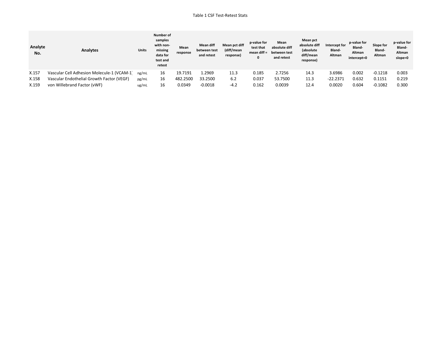| Analyte<br>No. | Analytes                                  | <b>Units</b> | Number of<br>samples<br>with non-<br>missing<br>data for<br>test and<br>retest | Mean<br>response | <b>Mean diff</b><br>between test<br>and retest | Mean pct diff<br>(diff/mean<br>response) | p-value for<br>test that<br>mean diff $=$ | Mean<br>absolute diff<br>between test<br>and retest | Mean pct<br>absolute diff<br>(absolute<br>diff/mean<br>response) | Intercept for<br>Bland-<br>Altman | p-value for<br>Bland-<br>Altman<br>intercept=0 | Slope for<br>Bland-<br>Altman | p-value for<br>Bland-<br>Altman<br>slope=0 |
|----------------|-------------------------------------------|--------------|--------------------------------------------------------------------------------|------------------|------------------------------------------------|------------------------------------------|-------------------------------------------|-----------------------------------------------------|------------------------------------------------------------------|-----------------------------------|------------------------------------------------|-------------------------------|--------------------------------------------|
| X.157          | Vascular Cell Adhesion Molecule-1 (VCAM-1 | ng/mL        | 16                                                                             | 19.7191          | 2969.ء                                         | 11.3                                     | 0.185                                     | 2.7256                                              | 14.3                                                             | 3.6986                            | 0.002                                          | $-0.1218$                     | 0.003                                      |
| X.158          | Vascular Endothelial Growth Factor (VEGF) | pg/mL        | 16                                                                             | 482.2500         | 33.2500                                        | 6.2                                      | 0.037                                     | 53.7500                                             | 11.3                                                             | $-22.2371$                        | 0.632                                          | 0.1151                        | 0.219                                      |
| X.159          | von Willebrand Factor (vWF)               | ug/mL        | 16                                                                             | 0.0349           | $-0.0018$                                      | $-4.2$                                   | 0.162                                     | 0.0039                                              | 12.4                                                             | 0.0020                            | 0.604                                          | $-0.1082$                     | 0.300                                      |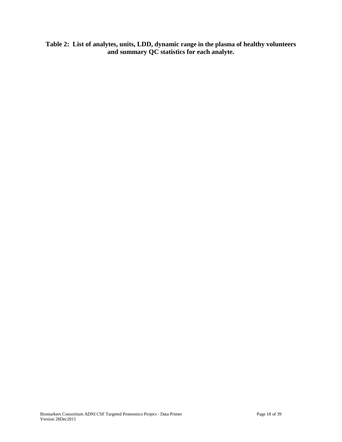**Table 2: List of analytes, units, LDD, dynamic range in the plasma of healthy volunteers and summary QC statistics for each analyte.**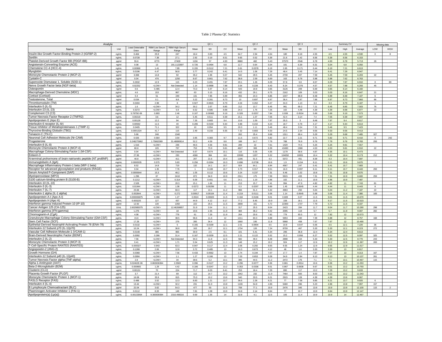#### Table 2 Plasma QC Statistics

| Analyte                                                                                |                |                                 |                             |                               |                | QC <sub>1</sub> |              |               | OC <sub>2</sub> |              |                | QC <sub>3</sub> |              |              | Summary CV   |                  | Missing data   |              |
|----------------------------------------------------------------------------------------|----------------|---------------------------------|-----------------------------|-------------------------------|----------------|-----------------|--------------|---------------|-----------------|--------------|----------------|-----------------|--------------|--------------|--------------|------------------|----------------|--------------|
| Name                                                                                   | Unit           | <b>Least Detectable</b><br>Dose | RBM Low Serum<br>Range      | <b>RBM High Serum</b><br>Rang | Mean           | SD              | ${\rm CV}$   | Mean          | SD              | CV           | Mean           | SD              | CV           | Low          | High         | Average          | LOW            | <b>HIGH</b>  |
| Insulin-like Growth Factor-Binding Protein 2 (IGFBP-2)                                 | ng/mL          | 0.464                           | 25.9                        | 247                           | 18.4           | 0.83            | 4.5          | 64.7          | 2.94            | 4.54         | 180            | 8.18            | 4.55         | 4.5          | 4.55         | 4.530            | $\overline{0}$ | $\mathbf{R}$ |
| Sortilin<br>Platelet-Derived Growth Factor BB (PDGF-BB)                                | ng/mL<br>pa/ml | 0.0728<br>55.6                  | 7.38<br>6770                | 27.1<br>27400                 | 2.92<br>1156   | 0.19<br>57      | 6.51<br>4.93 | 9.65<br>8880  | 0.52<br>482     | 5.39<br>5.43 | 21.6<br>37570  | 1.42<br>2546    | 6.56<br>6.78 | 5.39<br>4.93 | 6.56<br>6.78 | 6.153<br>5.713   | 26             |              |
| Angiotensin-Converting Enzyme (ACE)                                                    | ng/ml          | 0.08                            | 13                          | 191.1122697                   | 0.726          | 0.0494          | 6.8          | 12.7          | 0.64            | 5.04         | 101            | 6.39            | 6.31         | 5.04         | $6.8\,$      | 6.050            |                |              |
| Chemokine CC-4 (HCC-4)                                                                 | ng/mL          | 0.00968                         | 1.41                        | 7.89                          | 0.155          | 0.0112          | 7.21         | 0.61          | 0.0378          | 6.19         | 2.65           | 0.171           | 6.44         | 6.19         | 7.21         | 6.613            |                |              |
| Myoglobin                                                                              | ng/mL          | 0.0196                          | 4.47                        | 56.8                          | 3.77           | 0.242           | 6.41         | 14.5          | 1.06            | 7.29         | 48.4           | 3.45            | 7.14         | 6.41         | 7.29         | 6.947            |                |              |
| Monocyte Chemotactic Protein 2 (MCP-2)                                                 | pg/ml          | 3.368                           | 14.8                        | 92                            | 35.2           | 1.96            | 5.57         | 542           | 29.5            | 5.45         | 2730           | 207             | 7.59         | 5.45         | 7.59         | 6.203            | 22             |              |
| vstatin-C                                                                              | ng/ml          | 0.04                            | 476                         | 1250                          | 8.67           | 0.661           | 7.62         | 38.8          | 2.59            | 6.69         | 163            | 9.78            | 5.98         | 5.98         | 7.62         | 6.763            |                |              |
| Superoxide Dismutase 1, Soluble (SOD-1)<br>Nerve Growth Factor beta (NGF-beta)         | ng/mL          | 0.2632<br>0.02252               | 12.9<br><low></low>         | 115<br>Not Detected           | 6.23<br>1.14   | 0.491<br>0.0898 | 7.87<br>7.88 | 20.1<br>3.54  | 1.26<br>0.228   | 6.29<br>6.43 | 57.8<br>8.24   | 3.8<br>0.376    | 6.57<br>4.57 | 6.29<br>4.57 | 7.87<br>7.88 | 6.910<br>6.293   | $\Omega$<br>45 | 89           |
| Osteopontin                                                                            | ng/mL<br>ng/ml | 0.6                             | 0.485                       | 12.4                          | 73.3           | 5.97            | 8.14         | 543           | 19.8            | 3.65         | 3126           | 209             | 6.69         | 3.65         | 8.14         | 6.160            |                |              |
| Macrophage-Derived Chemokine (MDC)                                                     | pg/mL          | 4.6                             | 153                         | 867                           | 63             | 5.15            | 8.16         | 432           | 29.1            | 6.75         | 2162           | 109             | 5.03         | 5.03         | 8.16         | 6.647            | 21             |              |
| Cortisol (Cortisol)                                                                    | ng/ml          | 0.4                             | 51                          | 249                           | 131            | 7.85            | 5.99         | 355           | 24.3            | 6.85         | 1047           | 88.8            | 8.48         | 5.99         | 8.48         | 7.107            | 6              |              |
| Testosterone, Total                                                                    | ng/ml          | 0.034                           | 0.1                         | $8.8\,$                       | 3.22           | 0.281           | 8.73         | 10            | 0.697           | 6.97         | 36.4           | 2.87            | 7.88         | 6.97         | 8.73         | 7.860            | 86             |              |
| Thrombomodulin (TM)                                                                    | ng/ml          | 0.0404                          | 2.98                        | 8                             | 0.927          | 0.0815          | 8.79         | 4.04          | 0.262           | 6.47         | 34.3           | 1.13            | 3.3          | 3.3          | 8.79         | 6.187            | $\overline{1}$ |              |
| Interleukin-5 (IL-5)<br>Interleukin-23 (IL-23                                          | pg/mL<br>ng/mL | 1.6<br>0.3272                   | <low><br/><low></low></low> | 34.2<br>5.9                   | 30.2<br>6.52   | 2.67<br>0.585   | 8.85<br>8.98 | 212<br>24.3   | 13.7<br>1.76    | 6.45<br>7.26 | 961<br>102     | 69.3<br>4.48    | 7.21<br>4.39 | 6.45<br>4.39 | 8.85<br>8.98 | 7.503<br>6.877   | 76<br>22       |              |
| Complement C3 (C3)                                                                     | ma/ml          | 5.7875E-06                      | 0.893                       | 2.46                          | 0.107          | 0.00983         | 9.19         | 0.328         | 0.0257          | 7.84         | 0.939          | 0.0534          | 5.69         | 5.69         | 9.19         | 7.573            |                |              |
| Tumor Necrosis Factor Receptor 2 (TNFR2)                                               | ng/mL          | 0.00218                         | 3.6                         | 12                            | 5.45           | 0.511           | 9.39         | 15.1          | 1.07            | 7.05         | 42.4           | 3.14            | 7.4          | 7.05         | 9.39         | 7.947            |                |              |
| Apolipoprotein E (Apo E)                                                               | ua/ml          | 0.00128                         | 12.2                        | 94                            | 7.26           | 0.683           | 9.4          | 13.6          | 1.09            | 7.97         | 35.3           | $\mathbf{a}$    | 8.48         | 7.97         | 9.4          | 8.617            |                |              |
| Interleukin-6 receptor (IL-6r)                                                         | ng/ml          | 0.00592                         | 11.5                        | 40                            | 0.206          | 0.0194          | 9.44         | 3.88          | 0.242           | 6.23         | 18.7           | 0.78            | 4.17         | 4.17         | 9.44         | 6,613            |                |              |
| issue Inhibitor of Metalloproteinases 1 (TIMP-1)<br>Thyroxine-Binding Globulin (TBG)   | ng/mL          | 0.0405                          | 71.1<br>417                 | 322<br>115                    | 10<br>2.49     | 0.954<br>0.233  | 9.5<br>9.35  | 20.3<br>7.32  | 1.11<br>0.683   | 5.46<br>9.33 | 48.4<br>24.5   | 3.54<br>2.34    | 7.31<br>9.56 | 5.46<br>9.33 | 9.5<br>9.56  | 7.423<br>9.413   |                |              |
| Tenascin-C (TN-C)                                                                      | ug/mL<br>ng/mL | 0.0001324<br>5.66               | 246                         | 1340                          |                |                 |              | 262           | 25.4            | 9.68         | 1311           | 69.4            | 5.29         | 5.29         | 9.68         | 7.485            | 327            |              |
| Neuronal Cell Adhesion Molecule (Nr-CAM)                                               | ng/mL          | 0.026                           | 0.564                       | 3.54                          | 3.95           | 0.383           | 9.7          | 11.5          | 0.672           | 5.82         | 22.7           | 2.21            | 9.71         | 5.82         | 9.71         | 8.410            | $\mathbf 0$    | 242          |
| Progesterone                                                                           | ng/ml          | 0.248275862                     | 1.75862069                  | 31.48890614                   | 52.2           | 4.59            | $8.8\,$      | 188           | 14.7            | 7.79         | 788            | 76.9            | 9.76         | 7.79         | 9.76         | 8.783            | 293            |              |
| Interleukin-8 (IL-8)                                                                   | pg/mL          | 1.516                           | <low></low>                 | 236                           | 46.5           | 4.56            | 9.81         | 289           | $22\,$          | 7.61         | 1420           | 74.5            | 5.25         | 5.25         | 9.81         | 7.557            |                |              |
| Monocyte Chemotactic Protein 4 (MCP-4)                                                 | pg/ml          | 80.8                            | 105                         | 797                           | 753            | 73.9            | 9.81         | 4827          | 308             | 6.39         | 43490          | 1968            | 4.53         | 4.53         | 9.81         | 6.910            | 22             |              |
| Macrophage Colony-Stimulating Factor 1 (M-CSF)<br>Eotaxin-3                            | ng/ml          | 0.04<br>27.96                   | <low><br/><low></low></low> | Not Detected<br>230           | 6.67<br>4366   | 0.674<br>384    | 10.1<br>8.8  | 116<br>22690  | 5.05<br>1207    | 4.35<br>5.32 | 1179<br>104050 | 58.6<br>10831   | 4.97<br>10.4 | 4.35<br>5.32 | 10.1<br>10.4 | 6.473<br>8.173   | 212            |              |
| N-terminal prohormone of brain natriuretic peptide (NT proBNP)                         | pg/mL<br>pg/ml | 40.8                            | <low></low>                 | 411                           | 207            | 21.6            | 10.4         | 1196          | 51.5            | 4.3          | 5372           | 451             | 8.39         | 4.3          | 10.4         | 7.697            |                |              |
| Immunoglobulin A (IqA)                                                                 | mg/mL          | 0.0000535                       | 0.575                       | 5.83                          | 0.256          | 0.0264          | 10.3         | 0.696         | 0.0738          | 10.6         | 1.9            | 0.154           | 8.11         | 8.11         | 10.6         | 9.670            | $\overline{1}$ |              |
| Macrophage Inflammatory Protein-1 beta (MIP-1 beta)                                    | pg/mL          | 8.52                            | 14.8                        | 719                           | 132            | 14.1            | 10.7         | 924           | 64.1            | 6.94         | 4567           | 247             | 5.41         | 5.41         | 10.7         | 7.683            |                |              |
| Receptor for advanced glycosylation end products (RAGE)                                | ng/mL          | 0.04                            | 1.35                        | 7.76                          | $\overline{1}$ | 0.108           | 10.7         | 3.73          | 0.317           | 8.51         | 16.3           | 0.997           | 6.11         | 6.11         | 10.7         | 8,440            | 293            |              |
| Serum Amyloid P-Component (SAP)<br>Myeloperoxidase (MPO)                               | ug/mL          | 0.0000644                       | 15.3                        | 48.2                          | 1.05           | 0.112           | 10.6         | 3.24          | 0.237           | 7.31         | 9.46           | 1.02            | 10.8         | 7.31         | 10.8         | 9.570            |                |              |
| S100 calcium-binding protein B (S100-B)                                                | ng/mL<br>ng/mL | 1.296<br>0.1212                 | 67<br>$<$ LOW $>$           | 2410<br>0.314                 | 872<br>6.09    | 94.9<br>0.401   | 10.9<br>6.6  | 2311<br>24.1  | 175<br>1.19     | 7.59<br>4.96 | 5915<br>102    | 433<br>11.1     | 7.31<br>10.9 | 7.31<br>4.96 | 10.9<br>10.9 | 8.600<br>7.487   | 259            |              |
| Interleukin-10 (IL-10)                                                                 | pg/mL          | 2.528                           | <low></low>                 | 20.3                          | 15.1           | 1.66            | 11           | 213           | 15.7            | 7.41         | 994            | 47.9            | 4.82         | 4.82         | 11           | 7.743            | 81             |              |
| Interleukin-3 (IL-3)                                                                   | ng/mL          | 0.01944                         | <low></low>                 | 1.08                          | 0.0272         | 0.00299         | 11           | 0.3           | 0.0297          | 9.89         | 1.45           | 0.0645          | 4.44         | 4.44         | 11           | 8.443            | 8              |              |
| Interleukin-7 (IL-7)                                                                   | pg/ml          | 23.68                           | $d$ OWs                     | 60.3                          | 117            | 13.1            | 11.2         | 966           | 51.4            | 5.32         | 4963           | 250             | 5.04         | 5.04         | 11.2         | 7.187            | 22             |              |
| nterleukin-1 alpha (IL-1 alpha)                                                        | ng/mL          | 0.002844                        | <low></low>                 | 0.272                         | 0.00917        | 0.00104         | 11.4         | 0.219         | 0.0111          | 5.06         | 1.14           | 0.0645          | 5.68         | 5.06         | 11.4         | 7.380            | 183            |              |
| Apolipoprotein A-I (Apo A-I)<br>Apolipoprotein H (Apo H)                               | mg/mL<br>uo/ml | 0.000006875<br>0.003225         | 0.288<br>127                | 1.27<br>437                   | 0.0524<br>44.9 | 0.00603<br>4.12 | 11.5<br>9.17 | 0.184<br>77.2 | 0.0166<br>8.45  | 9.01<br>10.9 | 0.609<br>158   | 0.07<br>18.1    | 11.5<br>11.5 | 9.01<br>9.17 | 11.5<br>11.5 | 10.670<br>10.523 |                |              |
| terferon gamma Induced Protein 10 (IP-10)                                              | pg/ml          | 12.92                           | 130                         | 1350                          | 222            | 25.5            | 11.5         | 2808          | 161             | 5.72         | 22300          | 1737            | 7.79         | 5.72         | 11.5         | 8.337            |                |              |
| ancer Antigen 125 (CA-125)                                                             | U/mL           | 2.602985075                     | <low></low>                 | 12.46268657                   | 31.9           | 3.54            | 11.1         | 317           | 25.5            | 8.04         | 2423           | 284             | 11.7         | 8.04         | 11.7         | 10.280           | 298            |              |
| iterferon gamma (IFN-gamma)                                                            | pg/mL          | 1.276                           | <low></low>                 | 18                            | 19.6           | 2.35            | 11.9         | 384           | 36.2            | 9.42         | 2095           | 119             | 5.7          | 5.7          | 11.9         | 9.007            | 282            |              |
| hromogranin-A (CgA)                                                                    | ng/mL          | 4.08                            | <low></low>                 | 778                           | 61             | 7.26            | 11.9         | 264           | 20.6            | 7.82         | 779            | 93.5            | $12\,$       | 7.82         | 12           | 10.573           |                |              |
| Granulocyte-Macrophage Colony-Stimulating Factor (GM-CSF)                              | pg/mL          | 15.6                            | <low></low>                 | 38.5                          | 96.6           | 11.6            | 12           | 1211          | 83.3            | 6.88         | 5953           | 440             | 7.39         | 6.88         | 12           | 8.757            | 168            |              |
| Stem Cell Factor (SCF)<br>Epithelial-Derived Neutrophil-Activating Protein 78 (ENA-78) | pg/mL<br>ng/mL | 17.28<br>0.0132                 | <low><br/><low></low></low> | 276<br>5                      | 285<br>0.165   | 34.4<br>0.0199  | 12<br>12.1   | 1660<br>2.01  | 195<br>0.0904   | 11.8<br>4.5  | 5968<br>10.8   | 458<br>0.547    | 7.67<br>5.06 | 7.67<br>4.5  | 12<br>12.1   | 10.490<br>7.220  | 36             |              |
| Interleukin-12 Subunit p70 (IL-12p70)                                                  | pg/ml          | 10.24                           | <low></low>                 | 36.8                          | 163            | 19.7            | 12.1         | 1734          | 126             | 7.24         | 8759           | 467             | 5.33         | 5.33         | 12.1         | 8.223            | 272            |              |
| Vascular Cell Adhesion Molecule-1 (VCAM-1)                                             | ng/mL          | 0.0148                          | 386                         | 865                           | 30.9           | 2.5             | 8.1          | 101           | 5.41            | 5.34         | 296            | 36.8            | 12.4         | 5.34         | 12.4         | 8.613            |                |              |
| Brain-Derived Neurotrophic Factor (BDNF)                                               | ng/mL          | 0.0092                          | 0.266                       | 31.4                          | 0.167          | 0.0209          | 12.5         | 2.21          | 0.122           | 5.52         | 15.2           | 0.956           | 6.27         | 5.52         | 12.5         | 8.097            | 325            |              |
| Interleukin-2 (IL-2)                                                                   | pg/mL          | 7.56                            | <low></low>                 | Not Detected                  | 94.3           | 11.8            | 12.5         | 582           | 49.4            | 8.48         | 2898           | 154             | 5.33         | 5.33         | 12.5         | 8.770            | 243            |              |
| Monocyte Chemotactic Protein 3 (MCP-3)<br>T-Cell-Specific Protein RANTES (RANTES)      | pg/mL<br>ng/mL | 0.41<br>0.000327                | <low><br/>0.943</low>       | 1.71<br>63.3                  | 5.54<br>0.947  | 0.625<br>0.117  | 11.3<br>12.4 | 148<br>3.06   | 15.2<br>0.292   | 10.2<br>9.55 | 924<br>9.55    | 117<br>1.24     | 12.6<br>12.9 | 10.2<br>9.55 | 12.6<br>12.9 | 11.367<br>11.617 | 283            |              |
| Angiopoietin-2 (ANG-2)                                                                 | ng/mL          | 0.1268                          | 2.06                        | 12.8                          | 3.72           | 0.485           | 13           | 16.3          | 0.673           | 4.12         | 48             | $1.6\,$         | 3.33         | 3.33         | 13           | 6.817            |                |              |
| Growth Hormone (GH)                                                                    | ng/mL          | 0.0368                          | <low></low>                 | 7.56                          | 0.433          | 0.0562          | 13           | 2.74          | 0.194           | 7.07         | 17.7           | 1.4             | 7.87         | 7.07         | 13           | 9.313            | 167            |              |
| Interleukin-12 Subunit p40 (IL-12p40)                                                  | ng/mL          | 0.0904                          | <low></low>                 | 1.1                           | 1.27           | 0.166           | 13           | 7.03          | 0.653           | 9.28         | 34.9           | 2.84            | 8.13         | 8.13         | 13           | 10.137           | 261            |              |
| Tumor Necrosis Factor alpha (TNF-alpha)                                                | pg/mL          | 2.8                             | <low></low>                 | 34                            | 39.6           | 5.2             | 13.1         | 396           | 44.5            | 11.2         | 2472           | 176             | 7.1          | 7.1          | 13.1         | 10.467           | 115            |              |
| Alpha-1-Antitrypsin (AAT)                                                              | mg/mL          | 9.02462E-06                     | 0.863636364                 | 2.0569                        | 0.096          | 0.0127          | 13.2         | 0.296         | 0.0277          | 9.36         | 0.861          | 0.0914          | 10.6         | 9.36         | 13.2         | 11.053           |                |              |
| Beta-2-Microglobulin (B2M)<br>Clusterin (CLU)                                          | ug/mL<br>ua/ml | 0.000665<br>0.00131             | 1.29<br>70                  | 4.42<br>224                   | 0.186<br>71.7  | 0.0247<br>6.03  | 13.2<br>8.41 | 0.353<br>253  | 0.0336<br>18.4  | 9.51<br>7.29 | 0.867<br>890   | 0.0838<br>117   | 9.67<br>13.2 | 9.51<br>7.29 | 13.2<br>13.2 | 10.793<br>9.633  |                |              |
| Placenta Growth Factor (PLGF)                                                          | pg/ml          | 3.7                             | 21.4                        | 69                            | 112            | 14.7            | 13.2         | 1942          | 232             | 11.9         | 7464           | 600             | 8.03         | 8.03         | 13.2         | 11.043           |                |              |
| Monocyte Chemotactic Protein 1 (MCP-1)                                                 | pg/ml          | 16.08                           | 35.9                        | 815                           | 75.3           | 10.2            | 13.6         | 540           | 33.5            | 6.21         | 2915           | 128             | 4.39         | 4.39         | 13.6         | 8.067            |                |              |
| <b>FASLG Receptor (FAS)</b>                                                            | ng/ml          | 0.488                           | 3.52                        | 12.3                          | 8.83           | 1.21            | 13.7         | 36.6          | 2.28            | 6.21         | 77             | 7.58            | 9.85         | 6.21         | 13.7         | 9.920            |                |              |
| terleukin-4 (II -4)                                                                    | pg/mL          | 13.44                           | <low></low>                 | 32.2                          | 231            | 31 <sub>9</sub> | 138          | 1106          | 54 R            | 4.96         | 5460           | 286             | 5.23         | 4.96         | 13.8         | 7.997            | 157            |              |
| B Lymphocyte Chemoattractant (BLC)                                                     | pg/ml          | 22.04                           | 3.62<br>8.33                | 54.3<br>148                   | 477<br>7.81    | 55              | 11.5         | 708           | 77.1            | 10.9         | 2476           | 345             | 13.9         | 10.9         | 13.9         | 12.100           | 115            |              |
| Plasminogen Activator Inhibitor 1 (PAI-1)<br>Apolipoprotein(a) (Lp(a))                 | ng/mL<br>ug/mL | 0.0112<br>0.00133064            | 0 303030304                 | 2316 498316                   | 9.69           | 1.08<br>1.35    | 13.9<br>14   | 24.8<br>32R   | 2.14<br>41      | 8.64<br>125  | 77<br>105      | 10.7<br>11.4    | 13.9<br>10.9 | 8.64<br>10.9 | 13.9<br>14   | 12.147<br>12.467 |                |              |
|                                                                                        |                |                                 |                             |                               |                |                 |              |               |                 |              |                |                 |              |              |              |                  |                |              |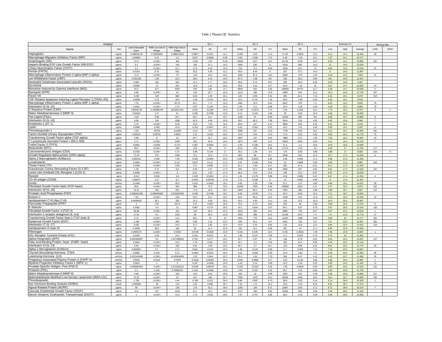#### Table 2 Plasma QC Statistics

| Analyte                                                             |                |                         |                                                                                                                                                                                                            |                         |                 | QC <sub>1</sub>   |              |               | QC <sub>2</sub> |              |                | QC <sub>3</sub> |              |              | Summary CV      |                  |                                  | Missing data |
|---------------------------------------------------------------------|----------------|-------------------------|------------------------------------------------------------------------------------------------------------------------------------------------------------------------------------------------------------|-------------------------|-----------------|-------------------|--------------|---------------|-----------------|--------------|----------------|-----------------|--------------|--------------|-----------------|------------------|----------------------------------|--------------|
| Name                                                                | Unit           | <b>Least Detectable</b> | RBM Low Serum                                                                                                                                                                                              | <b>RBM High Serum</b>   | Mean            | SD                | CV           | Mean          | SD              | CV           | Mean           | SD              | ${\rm CV}$   | Low          | High            | Average          | <b>LOW</b>                       | <b>HIGH</b>  |
| Haptoglobin                                                         | mg/mL          | Dose<br>2.43881E-05     | Range<br>0.23006993                                                                                                                                                                                        | Range<br>3.488613019    | 0.0857          | 0.0121            | 14.1         | 0.259         | 0.03            | 11.6         | 0.734          | 0.0844          | 11.5         | 11.5         | 14.1            | 12.400           | 99                               |              |
| Macrophage Migration Inhibitory Factor (MIF)                        | ng/mL          | 0.00664                 | 0.11                                                                                                                                                                                                       | 1.2                     | 0.627           | 0.0568            | 9.06         | 3.65          | 0.269           | 7.37         | 9.49           | 1.34            | 14.1         | 7.37         | 14.1            | 10.177           |                                  |              |
| Amphiregulin (AR)                                                   | pg/mL          | 67.2                    | $d$ OW                                                                                                                                                                                                     | 464                     | 2129            | 176               | 8.28         | 16060         | 1677            | 10.4         | 61740          | 8746            | 14.2         | 8.28         | 14.2            | 10.960           | 191                              |              |
| Heparin-Binding EGF-Like Growth Factor (HB-EGF)                     | pg/mL          | 5.2                     | <low:< td=""><td>104</td><td>190</td><td>27.1</td><td>14.3</td><td>1660</td><td>182</td><td>11</td><td>6218</td><td>890</td><td>14.3</td><td>11</td><td>14.3</td><td>13,200</td><td></td><td></td></low:<> | 104                     | 190             | 27.1              | 14.3         | 1660          | 182             | 11           | 6218           | 890             | 14.3         | 11           | 14.3            | 13,200           |                                  |              |
| Ciliary Neurotrophic Factor (CNTF)                                  | pg/mL          | 5.2                     | <low></low>                                                                                                                                                                                                | 12.1                    | 27.8            | 4.03              | 14.5         | 759           | 73.1            | 9.63         | 5188           | 621             | 12           | 9.63         | 14.5            | 12.043           | 67                               |              |
| Ferritin (FRTN)                                                     | ng/mL          | 0.0153                  | 8.75                                                                                                                                                                                                       | 631                     | 35.2            | 4.26              | 12.1         | 93.8          | 8.44            | $\mathbf{q}$ | 257            | 37.2            | 14.5         | $\mathbf{q}$ | 14.5            | 11.867           |                                  |              |
| Macrophage Inflammatory Protein-3 alpha (MIP-3 alpha)               | pg/ml          | 11.6                    | <low></low>                                                                                                                                                                                                | 76                      | 110             | 15.9              | 14.5         | 1890          | 87.4            | 4.63         | 8483           | 376             | 4.43         | 4.43         | 14.5            | 7.853            | 21                               |              |
| von Willebrand Factor (vWF)                                         | ug/mL          | 0.001108                | 1.84                                                                                                                                                                                                       | 42.2                    | 28.6            | 4.14              | 14.5         | 87.3          | 7.68            | 8.8          | 256            | 25.2            | 9.84         | 8.8          | 14.5            | 11.047           |                                  |              |
| Neutrophil Gelatinase-Associated Lipocalin (NGAL)<br><b>EN-RAGE</b> | ng/ml          | 0.084<br>0.0092         | 102                                                                                                                                                                                                        | 822<br>316              | 12.1            | 1.77<br>1.31      | 14.6         | 85.8<br>28.8  | 5.73<br>4.21    | 6.67<br>14.7 | 490            | 30.9<br>7.16    | 6.29         | 6.29         | 14.6<br>14.7    | 9.187<br>12.633  | 14                               |              |
| Monokine Induced by Gamma Interferon (MIG)                          | ng/mL          | 53.2                    | 13<br>877                                                                                                                                                                                                  | 9260                    | 12.8<br>918     | 135               | 10.2<br>14.7 | 8600          | 454             | 5.28         | 54.9<br>168800 | 19775           | 13<br>11.7   | 10.2<br>5.28 | 14.7            | 10.560           | 5                                |              |
| Epiregulin (EPR)                                                    | pg/ml<br>pg/mL | 6.98                    | <low></low>                                                                                                                                                                                                | 41                      | 219             | 22.7              | 10.3         | 1213          | 180             | 14.8         | 4900           | 643             | 13.1         | 10.3         | 14.8            | 12.733           | 327                              |              |
| Factor VII                                                          | ng/mL          | 0.228                   | 129                                                                                                                                                                                                        | 682                     | 8.54            | 1.29              | 15.1         | 125           | 6.65            | 5.31         | 825            | 61.1            | 7.41         | 5.31         | 15.1            | 9.273            | 313                              |              |
| TNF-Related Apoptosis-Inducing Ligand Receptor 3 (TRAIL-R3)         | ng/mL          | 0.0948                  | 3.72                                                                                                                                                                                                       | 18.4                    | 2.49            | 0.376             | 15.1         | 10.3          | 0.741           | 7.18         | 39.9           | 2.49            | 6.25         | 6.25         | 15.1            | 9.510            |                                  |              |
| Macrophage Inflammatory Protein-1 alpha (MIP-1 alpha)               | pg/mL          | 7.76                    | <low></low>                                                                                                                                                                                                | 60.75                   | 50.7            | 7.71              | 15.2         | 1082          | 70.5            | 6.52         | 6647           | 479             | 7.2          | 6.52         | 15.2            | 9.640            | 76                               |              |
| Interleukin-15 (IL-15)                                              | ng/mL          | 0.2312                  | <low></low>                                                                                                                                                                                                | 2.72                    | 0.97            | 0.149             | 15.3         | 4.29          | 0.3             | 6.99         | 25.4           | 1.09            | 4.29         | 4.29         | 15.3            | 8.860            | 78                               |              |
| -Reactive Protein (CRP)                                             | ug/ml          | 2.5844E-06              | 0.128368794                                                                                                                                                                                                | 48.93617021             | 0.201           | 0.0299            | 14.9         | 0.745         | 0.0576          | 7.73         | 2.26           | 0.349           | 15.4         | 7.73         | 15.4            | 12.677           | $\circ$                          |              |
| Matrix Metalloproteinase-3 (MMP-3)                                  | ng/ml          | 0.02632                 | 2.17                                                                                                                                                                                                       | 51                      | 0.635           | 0.0798            | 12.6         | 9.12          | 0.425           | 4.66         | 55             | 8.58            | 15.6         | 4.66         | 15.6            | 10.953           |                                  |              |
| Fas Ligand (FasL)                                                   | pg/ml          | 4.28                    | 5.88                                                                                                                                                                                                       | 34.7                    | 90.1            | 14.1              | 15.7         | 1199          | 97              | 8.09         | 10043          | 884             | 8.8          | 8.09         | 15.7            | 10.863           | $\mathbf{a}$                     |              |
| Interleukin-16 (IL-16                                               | pg/mL          | 6.56<br>5.76            | 240<br>$d$ OW:                                                                                                                                                                                             | 1580<br>5.43            | 62.6<br>45.5    | 9.96<br>7.32      | 15.9<br>16.1 | 831<br>2074   | 66.2            | 7.96<br>6.12 | 4514<br>9860   | 218<br>533      | 4.82<br>5.41 | 4.82<br>5.41 | 15.9<br>16.1    | 9,560<br>9.210   | $\overline{7}$<br>$\overline{7}$ |              |
| ndothelin-1 (ET-1)<br>Leptin                                        | pg/ml          | 0.0468                  | 0.465                                                                                                                                                                                                      | 41.8                    | 0.253           | 0.0407            | 16.1         | 9.05          | 127<br>0.563    | 6.23         | 43.4           | 2.41            | 5.56         | 5.56         | 16.1            | 9.297            | 11                               |              |
| Thrombospondin-1                                                    | ng/mL<br>ng/mL | 2.28                    | 20700                                                                                                                                                                                                      | 112000                  | 1114            | 172               | 155          | 3388          | 537             | 15.8         | 7729           | 1241            | 16.1         | 15.5         | 16.1            | 15,800           | 291                              |              |
| Tamm-Horsfall Urinary Glycoprotein (THP)                            | ug/ml          | 0.00014                 | 0.00791                                                                                                                                                                                                    | 0.0531                  | 3.21            | 0.519             | 16.2         | 13.9          | 2.01            | 14.5         | 71.9           | 3.32            | 4.62         | 4.62         | 16.2            | 11.773           | 75                               |              |
| Transforming Growth Factor alpha (TGF-alpha)                        | pg/ml          | 2.68                    |                                                                                                                                                                                                            | 31                      | 84.7            | 13.7              | 16.2         | 1837          | $147\,$         | 8.01         | 7868           | 571             | 7.25         | 7.25         | 16.2            | 10.487           | 15                               |              |
| T Lymphocyte-Secreted Protein I-309 (I-309)                         | pg/mL          | 17.2                    | <low></low>                                                                                                                                                                                                | 2200                    | 261             | 42.9              | 16.4         | 2872          | 409             | 14.2         | 13810          | 2041            | 14.8         | 14.2         | 16.4            | 15.133           | $\overline{7}$                   |              |
| Trefoil Factor 3 (TFF3)                                             | ug/ml          | 0.0001                  | 0.0205                                                                                                                                                                                                     | 0.173                   | 0.367           | 0.0502            | 13.7         | 2.05          | 0.338           | 16.5         | 11.3           | 1.2             | 10.6         | 10.6         | 16.5            | 13.600           |                                  |              |
| Betacellulin (BTC)                                                  | pg/mL          | 58.4                    | <low></low>                                                                                                                                                                                                | 446                     | 229             | 39                | 17           | 2721          | 225             | 8.28         | 17170          | 1721            | 10           | 8.28         | 17              | 11.760           | 177                              |              |
| Carcinoembryonic Antigen (CEA)                                      | ng/ml          | 0.0756                  | <low></low>                                                                                                                                                                                                | 5.72                    | 0.88            | 0.149             | 17           | 25.5          | 1.48            | 5.8          | 176            | 6.85            | 3.88         | 3.88         | 17 <sup>2</sup> | 8.893            | 216                              |              |
| Growth-Regulated alpha protein (GRO-alpha)                          | pg/mL          | 17.24                   | 272                                                                                                                                                                                                        | 1560                    | 74.1            | 12.6              | 17.1         | 804           | 86              | 10.7         | 5046           | 616             | 12.2         | 10.7         | 17.1            | 13.333           | 6                                |              |
| Alpha-2-Macroglobulin (A2Macro)                                     | mg/ml          | 0.000131<br>0.0904      | 0.404                                                                                                                                                                                                      | 7.93<br>0.127           | 0.323<br>0.647  | 0.0334<br>0.111   | 10.3<br>17.2 | 0.839<br>3.07 | 0.0532<br>0.109 | 6.35<br>3.54 | 3.46           | 0.593<br>0.886  | 17.2<br>5.92 | 6.35<br>3.54 | 17.2<br>17.2    | 11.283<br>8,887  |                                  |              |
| Lymphotactin<br><b>Tissue Factor (TF)</b>                           | ng/mL          | 0.1256                  | <low><br/><low></low></low>                                                                                                                                                                                | 4.68                    | 3.71            | 0.636             | 17.2         | 31.2          | 2.55            | 8.17         | 15<br>261      | 21.4            | 8.21         | 8.17         | 17.2            | 11.193           | 322                              |              |
| Granulocyte Colony-Stimulating Factor (G-CSF)                       | ng/mL<br>pg/mL | 1.36                    | 0.72                                                                                                                                                                                                       | 121                     | 9.04            | 1.57              | 17.3         | 500           | 44.2            | 8.85         | 2995           | 207             | 6.91         | 6.91         | 17.3            | 11.020           | 162                              |              |
| Lectin-Like Oxidized LDL Receptor 1 (LOX-1)                         | ng/mL          | 0.3292                  | $<$ LOW $>$                                                                                                                                                                                                | $\overline{\mathbf{3}}$ | 8.21            | 1.43              | 17.4         | 35.2          | 4.44            | 12.6         | 146            | 13.2            | 9.07         | 9.07         | 17.4            | 13.023           |                                  |              |
| Resistin                                                            | ng/ml          | 0.012                   | 0.059                                                                                                                                                                                                      | $3.6\,$                 | 0.203           | 0.0354            | 17.4         | 1.81          | 0.179           | 9.89         | 8.53           | 0.808           | 9.47         | 9.47         | 17.4            | 12.253           | $\overline{4}$                   |              |
| CD 40 antigen (CD40)                                                | ng/mL          | 0.00872                 | 0.17                                                                                                                                                                                                       | 6.1                     | 0.0421          | 0.00752           | 17.9         | 2.11          | 0.169           | 8            | 10             | 0.861           | 8.59         | 8            | 17.9            | 11.497           |                                  |              |
| Insulin                                                             | ulU/mL         | 0.2648                  | <low></low>                                                                                                                                                                                                | 49.3                    | 0.251           | 0.0453            | 18.1         | 3.65          | 0.28            | 7.68         | 22.1           | 1.07            | 4.84         | 4.84         | 18.1            | 10.207           | 39                               |              |
| Fibroblast Growth Factor basic (FGF-basic)                          | pg/mL          | 99.6                    | <low></low>                                                                                                                                                                                                | 264                     | 396             | 72.2              | 18.2         | 21000         | 1355            | 6.45         | 128600         | 2914            | 2.27         | 2.27         | 18.2            | 8.973            | 152                              |              |
| Interleukin-18 (IL-18)                                              | pg/mL          | 10.12                   | 106                                                                                                                                                                                                        | 651                     | 77.8            | 14.6              | 18.7         | 1649          | 96.2            | 5.83         | 7964           | 389             | 4.89         | 4.89         | 18.7            | 9.807            | 116                              |              |
| Prostatic Acid Phosphatase (PAP)<br>Eotaxin-1                       | ng/mL          | 0.008461539<br>7.52     | 0.099038462                                                                                                                                                                                                | 2.019230769             | 0.426           | 0.0798<br>10.1    | 18.7         | 9.53          | 0.678           | 7.11<br>14.5 | 50.4           | 6.63            | 13.2<br>11.6 | 7.11<br>11.6 | 18.7            | 13.003<br>15.100 | 12                               |              |
| Apolipoprotein C-III (Apo C-III)                                    | pg/mL<br>ug/ml | 0.0040625               | <low><br/>35.1</low>                                                                                                                                                                                       | 218<br>253              | 52.5<br>15.1    | 3.05              | 19.2<br>20.2 | 623<br>43.2   | 90.5<br>4.92    | 11.4         | 4428<br>118    | 512<br>12.2     | 10.3         | 10.3         | 19.2<br>20.2    | 13,967           |                                  |              |
| Pancreatic Polypeptide (PPP)                                        | pg/ml          |                         | 2.67                                                                                                                                                                                                       | 337.6                   | 4.47            | 0.916             | 20.5         | 76.5          | 6.74            | 8.82         | 616            | 35              | 5.69         | 5.69         | 20.5            | 11.670           |                                  |              |
| -Selectin                                                           | ng/ml          | 0.2052                  | 4a                                                                                                                                                                                                         | 21                      | 0.867           | 0.179             | 20.6         | 18.1          | 0.554           | 3.07         | 84.1           | 5.67            | 6.75         | 3.07         | 20.6            | 10.140           | 126                              |              |
| Fibroblast Growth Factor 4 (FGF-4)                                  | pg/mL          | 36.08                   | <low></low>                                                                                                                                                                                                | 104                     | 123             | 26.2              | 21.2         | 1813          | 182             | 10.1         | 8085           | 750             | 9.27         | 9.27         | 21.2            | 13.523           |                                  |              |
| Interleukin-1 receptor antagonist (IL-1ra)                          | pg/ml          | 17.52                   | 6.1                                                                                                                                                                                                        | 1310                    | 96              | 20.9              | 21.8         | 4032          | 368             | 9.12         | 21230          | 1572            | 7.4          | 7.4          | 21.8            | 12.773           | 17                               |              |
| Transforming Growth Factor beta-3 (TGF-beta-3)                      | pg/mL          | 6.72                    | <low></low>                                                                                                                                                                                                | 12.4                    | 86.2            | 19                | 22           | 1642          | 178             | 10.9         | 14420          | 1389            | 9.63         | 9.63         | 22              | 14.177           | 292                              |              |
| Epidermal Growth Factor (EGF)                                       | pg/ml          | 1.196                   | <low></low>                                                                                                                                                                                                | 493                     | 5.85            | 1.31              | 22.3         | 546           | 54.1            | 9.9          | 2641           | 153             | 5.8          | 5.8          | 22.3            | 12.667           | 262                              |              |
| Interleukin-17 (IL-17)                                              | pg/mL          | 2.632                   | <low></low>                                                                                                                                                                                                | 24.3                    | 12.7            | 2.85              | 22.5         | 43.9          | 4.32            | 9.84         | 136            | 16.8            | 12.4         | 9.84         | 22.5            | 14.913           | 123                              |              |
| Apolipoprotein D (Apo D)<br>Fibrinogen                              | ug/ml          | 0.0258                  | 58.5                                                                                                                                                                                                       | 169                     | 50              | 11.4              | 22.9         | 132           | 13.1            | 9.95         | 397            | 44              | 11.1         | 9.95         | 22.9            | 14.650           |                                  |              |
| AXL Receptor Tyrosine Kinase (AXL)                                  | mg/ml<br>ng/mL | 0.0000175<br>0.0202     | <low><br/>4.09</low>                                                                                                                                                                                       | 0.0303<br>14.4          | 0.0736<br>0.161 | 0.0168<br>0.0371  | 22.9<br>23   | 0.241<br>1.85 | 0.025<br>0.147  | 10.4<br>7.95 | 0.701<br>17.2  | 0.0523<br>0.643 | 7.46<br>3.74 | 7.46<br>3.74 | 22.9<br>23      | 13.587<br>11.563 |                                  |              |
| Alpha-Fetoprotein (AFP)                                             | ng/mL          | 0.051908397             | 0.5                                                                                                                                                                                                        | 4.427480916             | 0.764           | 0.177             | 23.1         | 22.7          | 2.97            | 13           | 146            | 8.79            | 6.01         | 6.01         | 23.1            | 14.037           | 127                              |              |
| Fatty Acid-Binding Protein, heart (FABP, heart)                     | ng/mL          | 0.2824                  | <low></low>                                                                                                                                                                                                | 10.3                    | 2.76            | 0.641             | 23.2         | 42.7          | 1.9             | 4.44         | 281            | 24.4            | 8.69         | 4.44         | 23.2            | 12.110           |                                  |              |
| Interleukin-13 (IL-13)                                              | pg/mL          | 6.36                    | <low></low>                                                                                                                                                                                                | 100                     | 9.02            | 2.09              | 23.2         | 36.7          | 3.7             | 10.1         | 123            | 9.86            | 8.01         | 8.01         | 23.2            | 13,770           | 45                               |              |
| Alpha-1-Microglobulin (A1Micro)                                     | ug/ml          | 0.000097                | 5.7                                                                                                                                                                                                        | 17.1                    | 0.941           | 0.219             | 23.3         | 1.48          | 0.144           | 9.68         | $3.7\,$        | 0.263           | 7.12         | 7.12         | 23.3            | 13.367           |                                  |              |
| Thyroid-Stimulating Hormone (TSH)                                   | ulU/mL         | 0.0082                  | 0.444                                                                                                                                                                                                      | 5.11                    | 0.0943          | 0.0221            | 23.4         | 4.51          | 0.283           | 6.29         | 24.9           | 1.85            | $7.4\,$      | 6.29         | 23.4            | 12.363           | 66                               |              |
| Luteinizing Hormone (LH)                                            | mIU/mL         | 0.321543408             | <low></low>                                                                                                                                                                                                | 41.80064309             | 2.29            | 0.544             | 23.7         | 25.2          | 1.82            | 7.23         | 206            | 8.47            | 4.12         | 4.12         | 23.7            | 11,683           | 35                               |              |
| Pregnancy-Associated Plasma Protein A (PAPP-A)                      | mIU/mL         | 0.0044                  | 0.0131                                                                                                                                                                                                     | 0.0783                  | 0.0139          | 0.00337           | 24.3         | 0.825         | 0.0885          | 10.7         | 3.22           | 0.118           | 3.66         | 3.66         | 24.3            | 12.887           | $\mathbf{1}$                     |              |
| Myeloid Progenitor Inhibitory Factor 1 (MPIF-1)                     | ng/mL          | 0.0624                  | $\overline{1}$                                                                                                                                                                                             | $\mathbf{3}$            | 0.167           | 0.0408            | 24.4         | 3.43          | 0.14            | 4.09         | 19.2           | 1.06            | 5.53         | 4.09         | 24.4            | 11.340           | 11                               |              |
| Prostate-Specific Antigen, Free (PSA-f)<br>Prolactin (PRL)          | ng/mL          | 0.005882353<br>0.2      | <low><br/>0.103</low>                                                                                                                                                                                      | 0.572192513             | 0.0235<br>0.144 | 0.00576<br>0.0358 | 24.5<br>24.8 | 0.243<br>4.54 | 0.0223<br>0.197 | 9.18<br>4.34 | 1.05           | 0.0933<br>2.34  | 8.93         | 8.93<br>4.34 | 24.5            | 14.203           | 131                              |              |
| Matrix Metalloproteinase-9 (MMP-9)                                  | ng/ml<br>ng/mL | 4.08                    | <low></low>                                                                                                                                                                                                | 6.79962514<br>318       | 14.9            | 3.81              | 25.6         | 160           | 16              | 9.99         | 38.7<br>1922   | 104             | 6.03<br>5.39 | 5.39         | 24.8<br>25.6    | 11.723<br>13.660 | 217                              |              |
| Malondialdehyde-Modified Low-Density Lipoprotein (MDA-LDL)          | ng/ml          | 21.92                   | <low></low>                                                                                                                                                                                                | 32                      | 647             | 166               | 25.7         | 7999          | 1476            | 18.4         | 26630          | 4946            | 18.6         | 18.4         | 25.7            | 20.900           | 165                              |              |
| Thrombopoietin                                                      | ng/ml          | 1.756                   | <low></low>                                                                                                                                                                                                | 4.44                    | 0.788           | 0.212             | 26.9         | 8.86          | 0.597           | 6.73         | 58.8           | 3.02            | 5.14         | 5.14         | 26.9            | 12.923           |                                  |              |
| Sex Hormone-Binding Globulin (SHBG)                                 | nmol/l         | 0.000936                | 18                                                                                                                                                                                                         | 114                     | 2.81            | 0.808             | 28.7         | 7.32          | 1.11            | 15.2         | 25.6           | 2.18            | 8.52         | 8.52         | 28.7            | 17.473           |                                  |              |
| Agouti-Related Protein (AGRP)                                       | pg/ml          | 66                      | <low></low>                                                                                                                                                                                                | 136                     | 178             | 51.6              | 28.9         | 1250          | 109             | 8.71         | 12807          | 2201            | 17.2         | 8.71         | 28.9            | 18,270           |                                  |              |
| Vascular Endothelial Growth Factor (VEGF)                           | pg/mL          | $6.8\,$                 | 107                                                                                                                                                                                                        | 1010                    | 51.7            | 15.1              | 29.2         | 2727          | 236             | 8.65         | 14000          | 650             | 4.64         | 4.64         | 29.2            | 14.163           |                                  |              |
| Serum Glutamic Oxaloacetic Transaminase (SGOT)                      | ua/ml          | Ł.                      | $d$ OWs                                                                                                                                                                                                    | 11.3                    | 1.75            | 0.518             | 296          | 7.97          | 0.707           | <b>BRR</b>   | 382            | 2.44            | 6.39         | 6.39         | 296             | 14.950           |                                  |              |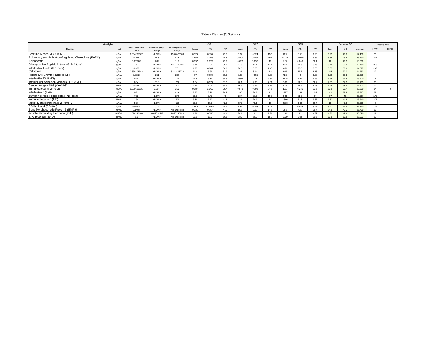#### Table 2 Plasma QC Statistics

| Analyte                                             |        |                         | QC <sub>1</sub>               |                         |        | QC <sub>2</sub> |      |        | QC <sub>3</sub> |                |       | Summary CV      |      |      | Missing data |         |                  |             |
|-----------------------------------------------------|--------|-------------------------|-------------------------------|-------------------------|--------|-----------------|------|--------|-----------------|----------------|-------|-----------------|------|------|--------------|---------|------------------|-------------|
| Name                                                | Unit   | Least Detectabl<br>Dose | <b>RBM Low Serum</b><br>Range | RBM High Serum<br>Range | Mean   | SD              | CVI  | Mean   | SD              | C <sub>V</sub> | Mear  | SD              | CV   | Low  | High         | Average | LOW              | <b>HIGH</b> |
| Creatine Kinase-MB (CK-MB)                          | ng/mL  | 0.364705882             | $<$ LOW $>$                   | 19.76470588             | 0.524  | 0.156           | 29.8 | 5.32   | 0.724           | 13.6           | 42.2  | 3.78            | 8.95 | 8.95 | 29.8         | 17.450  | 33               |             |
| Pulmonary and Activation-Regulated Chemokine (PARC) | ng/mL  | 0.028                   | 11.3                          | 42.6                    | 0.0566 | 0.0169          | 29.8 | 0.0905 | 0.0269          | 29.7           | 0.176 | 0.0175          | 9.89 | 9.89 | 29.8         | 23,130  | 327              |             |
| Adiponectin                                         | ug/mL  | 0.000282                | 1.82                          | 11.2                    | 0.197  | 0.0589          | 29.9 | 0.623  | 0.0749          | 12             | 2.04  | 0.246           | 12.1 | 12   | 29.9         | 18,000  |                  |             |
| Glucagon-like Peptide 1, total (GLP-1 total)        | pa/ml  |                         | $<$ LOW $>$                   | 131,7780685             | 6.74   | 2.06            | 30.6 |        | 13.4            | 1.4            | 810   | 76.5            | 9.45 | 9.45 | 30.6         | 17,150  | 258              |             |
| Interleukin-1 beta (IL-1 beta)                      | pg/mL  | 0.456                   | $<$ LOW $>$                   | 7.81                    | 1.78   | 0.545           | 30.6 | 90.6   | 6.78            | 7.48           | 451   | 25.5            | 5.65 | 5.65 | 30.6         | 14.577  | 262              |             |
| Calcitonin                                          | pg/mL  | 2.898203593             | $<$ LOW $>$                   | 8.443113773             | 11.4   | 3.66            | 32.3 | 181    | 8.14            | 45             | 926   | 75.7            | 8.18 | 4.5  | 32.3         | 14.993  | 12 <sup>12</sup> |             |
| Hepatocyte Growth Factor (HGF)                      | ng/mL  | 0.0812                  | 1.51                          | 2.69                    | 27     | 0.896           | 33.2 | 8.95   | 0.855           | 9.55           | 42.7  |                 | 9.36 | 9.36 | 33.2         | 17,370  |                  |             |
| Interleukin-25 (IL-25)                              | pg/mL  | 5.24                    | $<$ LOW $>$                   | 78.4                    | 26.8   | 9.34            | 34.9 | 1886   | 128             |                | 9178  | 550             | 5.99 | 5.99 | 34.9         | 15,900  |                  |             |
| Intercellular Adhesion Molecule 1 (ICAM-1)          | ng/mL  | 0.84                    | 63.8                          | 272                     | 1.54   | 0.573           | 37.3 | 40.1   | 2.93            | 7.31           | 180   | 22.8            | 12.7 | 7.31 | 37.3         | 19.103  | 15               |             |
| Cancer Antigen 19-9 (CA-19-9)                       | U/mL   | 0.648                   | $<$ LOW $>$                   | 52                      | 2.74   | 1.06            | 38.5 | 76.5   | 6.67            | 8.73           | 416   | 26.9            | 6.48 | 6.48 | 38.5         | 17,903  | 12               |             |
| Immunoglobulin M (IGM)                              | mg/mL  | 0.000100125             | 0.304                         | 3.32                    | 0.187  | 0.0737          | 39.4 | 0.573  | 0.198           | 34.6           | 1.73  | 0.236           | 13.6 | 13.6 | 39.4         | 29,200  | 54               |             |
| Interleukin-6 (IL-6)                                | pg/mL  | 0.72                    | $<$ LOW $>$                   | 42.6                    | 5.92   | 2.36            | 39.8 | 300    | 24.6            | 0 <sub>0</sub> | 1757  | 188             | 10.7 | 82   | 39.8         | 19.567  | 39               |             |
| Tumor Necrosis Factor beta (TNF-beta)               | pg/mL  | 7.32                    | $<$ LOW $>$                   | 27.5                    | 23.8   | 9.77            |      | 207    | 21.6            | 10.5           | 948   | 82.5            | 87   | 87   | A1           | 20,067  | 175              |             |
| Immunoglobulin E (IgE)                              | U/mL   | 2.54                    | $<$ LOW $>$                   | 606                     | 9.36   | 3.92            | 41.8 | 224    | 24.6            |                | 1396  | 81.3            | 5.82 | 5.82 | 41.8         | 19,540  | 277              |             |
| Matrix Metalloproteinase-2 (MMP-2)                  | ng/mL  | 5.96                    | $<$ LOW $>$                   | 151                     | 25.8   | 10.9            | 42.3 | 370    | 48.1            | $13 -$         | 2216  | 364             | 16.4 | 13   | 42.3         | 23,900  | $\sim$           |             |
| CD40 Ligand (CD40-L)                                | ng/mL  | 0.00504                 | 0.14                          | 4.9                     | 0.0208 | 0.00924         | 44.4 | 1.31   | 0.153           | 11.7           | 7.1   | 0.669           | 9.42 | 9.42 | 44.4         | 21,840  | 124              |             |
| Bone Morphogenetic Protein 6 (BMP-6)                | ng/mL  | 0.1468                  | $<$ LOW $>$                   | Not Detected            | 0.331  | 0.157           | 47.2 | 18.5   | 2.69            | 14.5           | 25.5  | 4.68            | 18.4 | 14.5 | 47.2         | 26,700  | 69               |             |
| Follicle-Stimulating Hormone (FSH)                  | mIU/mL | 1.074380166             | 0.088016529                   | 10.87130643             | 1.56   | 0.757           | 48.4 | 29.1   | 2.1             | 7.21           | 280   |                 | 4.63 | 4.63 | 48.4         | 20,080  | 19               |             |
| Erythropoietin (EPO)                                | pg/mL  | 5.6                     | $<$ LOW $>$                   | Not Detected            | 21.8   | 13.2            | 60.5 | 380    | 60.2            | 15.8           | 1839  | 10 <sub>A</sub> | 10.5 | 10.5 | 60.5         | 28,933  | 87               |             |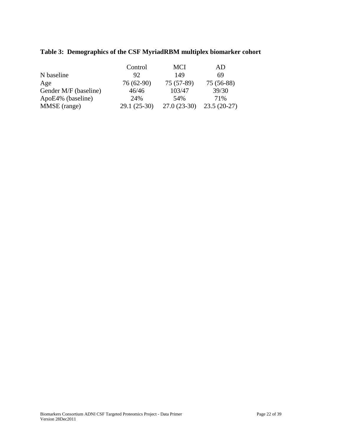### **Table 3: Demographics of the CSF MyriadRBM multiplex biomarker cohort**

|                       | Control      | MCI           | AD            |
|-----------------------|--------------|---------------|---------------|
| N baseline            | 92           | 149           | 69            |
| Age                   | $76(62-90)$  | $75(57-89)$   | 75 (56-88)    |
| Gender M/F (baseline) | 46/46        | 103/47        | 39/30         |
| ApoE4% (baseline)     | 24%          | 54%           | 71%           |
| MMSE (range)          | 29.1 (25-30) | $27.0(23-30)$ | $23.5(20-27)$ |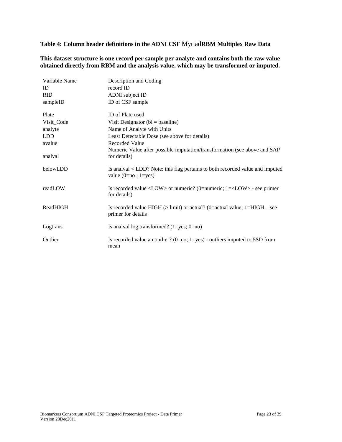**Table 4: Column header definitions in the ADNI CSF** Myriad**RBM Multiplex Raw Data**

**This dataset structure is one record per sample per analyte and contains both the raw value obtained directly from RBM and the analysis value, which may be transformed or imputed.**

| Variable Name | Description and Coding                                                                                                    |
|---------------|---------------------------------------------------------------------------------------------------------------------------|
| ID            | record ID                                                                                                                 |
| <b>RID</b>    | ADNI subject ID                                                                                                           |
| sampleID      | ID of CSF sample                                                                                                          |
| Plate         | ID of Plate used                                                                                                          |
| Visit_Code    | Visit Designator ( $bl = baseline$ )                                                                                      |
| analyte       | Name of Analyte with Units                                                                                                |
| <b>LDD</b>    | Least Detectable Dose (see above for details)                                                                             |
| avalue        | <b>Recorded Value</b>                                                                                                     |
|               | Numeric Value after possible imputation/transformation (see above and SAP                                                 |
| analval       | for details)                                                                                                              |
| belowLDD      | Is analval < LDD? Note: this flag pertains to both recorded value and imputed<br>value $(0=no; 1=yes)$                    |
| readLOW       | Is recorded value $\langle$ LOW $\rangle$ or numeric? (0=numeric; 1= $\langle$ LOW $\rangle$ - see primer<br>for details) |
| ReadHIGH      | Is recorded value HIGH $($ > limit) or actual? (0=actual value; 1=HIGH – see<br>primer for details                        |
| Logtrans      | Is analyal log transformed? $(1 = yes; 0 = no)$                                                                           |
| Outlier       | Is recorded value an outlier? ( $0=no$ ; $1=yes$ ) - outliers imputed to 5SD from<br>mean                                 |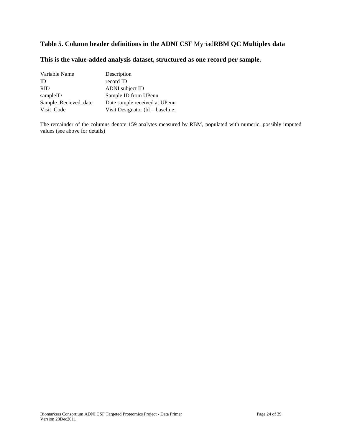#### **Table 5. Column header definitions in the ADNI CSF** Myriad**RBM QC Multiplex data**

#### **This is the value-added analysis dataset, structured as one record per sample.**

| Variable Name        | Description                          |
|----------------------|--------------------------------------|
| ID                   | record ID                            |
| <b>RID</b>           | ADNI subject ID                      |
| sampleID             | Sample ID from UPenn                 |
| Sample_Recieved_date | Date sample received at UPenn        |
| Visit Code           | Visit Designator ( $bl = baseline$ ; |

The remainder of the columns denote 159 analytes measured by RBM, populated with numeric, possibly imputed values (see above for details)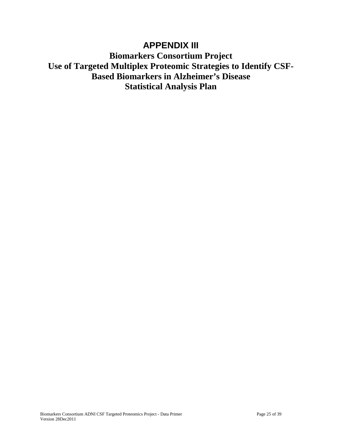### **APPENDIX III**

**Biomarkers Consortium Project Use of Targeted Multiplex Proteomic Strategies to Identify CSF-Based Biomarkers in Alzheimer's Disease Statistical Analysis Plan**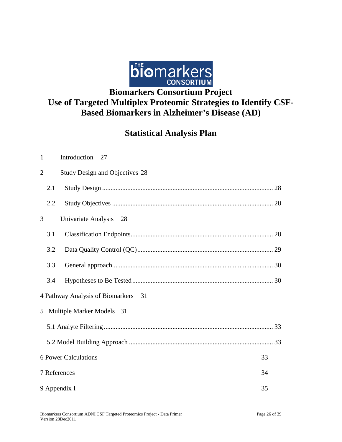

# **Use of Targeted Multiplex Proteomic Strategies to Identify CSF-Based Biomarkers in Alzheimer's Disease (AD)**

## **Statistical Analysis Plan**

| $\mathbf{1}$                      | Introduction 27                       |  |
|-----------------------------------|---------------------------------------|--|
| $\overline{2}$                    | <b>Study Design and Objectives 28</b> |  |
| 2.1                               |                                       |  |
| 2.2                               |                                       |  |
| 3                                 | Univariate Analysis 28                |  |
| 3.1                               |                                       |  |
| 3.2                               |                                       |  |
| 3.3                               |                                       |  |
| 3.4                               |                                       |  |
|                                   | 4 Pathway Analysis of Biomarkers 31   |  |
|                                   | 5 Multiple Marker Models 31           |  |
|                                   |                                       |  |
|                                   |                                       |  |
| <b>6 Power Calculations</b><br>33 |                                       |  |
| 7 References<br>34                |                                       |  |
|                                   | 9 Appendix I<br>35                    |  |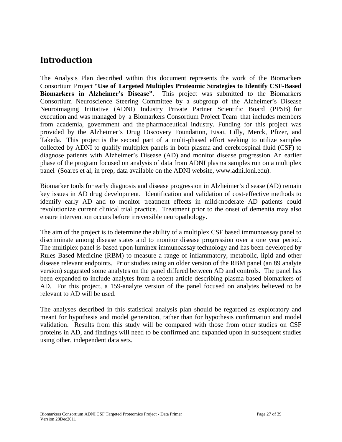### <span id="page-26-0"></span>**Introduction**

The Analysis Plan described within this document represents the work of the Biomarkers Consortium Project "**Use of Targeted Multiplex Proteomic Strategies to Identify CSF-Based Biomarkers in Alzheimer's Disease"**. This project was submitted to the Biomarkers Consortium Neuroscience Steering Committee by a subgroup of the Alzheimer's Disease Neuroimaging Initiative (ADNI) Industry Private Partner Scientific Board (PPSB) for execution and was managed by a Biomarkers Consortium Project Team that includes members from academia, government and the pharmaceutical industry. Funding for this project was provided by the Alzheimer's Drug Discovery Foundation, Eisai, Lilly, Merck, Pfizer, and Takeda. This project is the second part of a multi-phased effort seeking to utilize samples collected by ADNI to qualify multiplex panels in both plasma and cerebrospinal fluid (CSF) to diagnose patients with Alzheimer's Disease (AD) and monitor disease progression. An earlier phase of the program focused on analysis of data from ADNI plasma samples run on a multiplex panel (Soares et al, in prep, data available on the ADNI website, www.adni.loni.edu).

Biomarker tools for early diagnosis and disease progression in Alzheimer's disease (AD) remain key issues in AD drug development. Identification and validation of cost-effective methods to identify early AD and to monitor treatment effects in mild-moderate AD patients could revolutionize current clinical trial practice. Treatment prior to the onset of dementia may also ensure intervention occurs before irreversible neuropathology.

The aim of the project is to determine the ability of a multiplex CSF based immunoassay panel to discriminate among disease states and to monitor disease progression over a one year period. The multiplex panel is based upon luminex immunoassay technology and has been developed by Rules Based Medicine (RBM) to measure a range of inflammatory, metabolic, lipid and other disease relevant endpoints. Prior studies using an older version of the RBM panel (an 89 analyte version) suggested some analytes on the panel differed between AD and controls. The panel has been expanded to include analytes from a recent article describing plasma based biomarkers of AD. For this project, a 159-analyte version of the panel focused on analytes believed to be relevant to AD will be used.

The analyses described in this statistical analysis plan should be regarded as exploratory and meant for hypothesis and model generation, rather than for hypothesis confirmation and model validation. Results from this study will be compared with those from other studies on CSF proteins in AD, and findings will need to be confirmed and expanded upon in subsequent studies using other, independent data sets.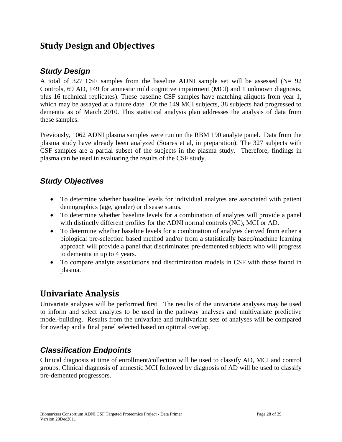### <span id="page-27-0"></span>**Study Design and Objectives**

### <span id="page-27-1"></span>*Study Design*

A total of 327 CSF samples from the baseline ADNI sample set will be assessed  $(N= 92)$ Controls, 69 AD, 149 for amnestic mild cognitive impairment (MCI) and 1 unknown diagnosis, plus 16 technical replicates). These baseline CSF samples have matching aliquots from year 1, which may be assayed at a future date. Of the 149 MCI subjects, 38 subjects had progressed to dementia as of March 2010. This statistical analysis plan addresses the analysis of data from these samples.

Previously, 1062 ADNI plasma samples were run on the RBM 190 analyte panel. Data from the plasma study have already been analyzed (Soares et al, in preparation). The 327 subjects with CSF samples are a partial subset of the subjects in the plasma study. Therefore, findings in plasma can be used in evaluating the results of the CSF study.

### <span id="page-27-2"></span>*Study Objectives*

- To determine whether baseline levels for individual analytes are associated with patient demographics (age, gender) or disease status.
- To determine whether baseline levels for a combination of analytes will provide a panel with distinctly different profiles for the ADNI normal controls (NC), MCI or AD.
- To determine whether baseline levels for a combination of analytes derived from either a biological pre-selection based method and/or from a statistically based/machine learning approach will provide a panel that discriminates pre-demented subjects who will progress to dementia in up to 4 years.
- To compare analyte associations and discrimination models in CSF with those found in plasma.

### <span id="page-27-3"></span>**Univariate Analysis**

Univariate analyses will be performed first. The results of the univariate analyses may be used to inform and select analytes to be used in the pathway analyses and multivariate predictive model-building. Results from the univariate and multivariate sets of analyses will be compared for overlap and a final panel selected based on optimal overlap.

### <span id="page-27-4"></span>*Classification Endpoints*

Clinical diagnosis at time of enrollment/collection will be used to classify AD, MCI and control groups. Clinical diagnosis of amnestic MCI followed by diagnosis of AD will be used to classify pre-demented progressors.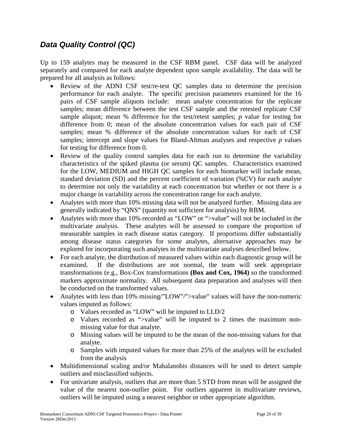### <span id="page-28-0"></span>*Data Quality Control (QC)*

Up to 159 analytes may be measured in the CSF RBM panel. CSF data will be analyzed separately and compared for each analyte dependent upon sample availability. The data will be prepared for all analysis as follows:

- Review of the ADNI CSF test/re-test QC samples data to determine the precision performance for each analyte. The specific precision parameters examined for the 16 pairs of CSF sample aliquots include: mean analyte concentration for the replicate samples; mean difference between the test CSF sample and the retested replicate CSF sample aliquot; mean % difference for the test/retest samples; *p* value for testing for difference from 0; mean of the absolute concentration values for each pair of CSF samples; mean % difference of the absolute concentration values for each of CSF samples; intercept and slope values for Bland-Altman analyses and respective *p* values for testing for difference from 0.
- Review of the quality control samples data for each run to determine the variability characteristics of the spiked plasma (or serum) QC samples. Characteristics examined for the LOW, MEDIUM and HIGH QC samples for each biomarker will include mean, standard deviation (SD) and the percent coefficient of variation (%CV) for each analyte to determine not only the variability at each concentration but whether or not there is a major change in variability across the concentration range for each analyte.
- Analytes with more than 10% missing data will not be analyzed further. Missing data are generally indicated by "QNS" (quantity not sufficient for analysis) by RBM.
- Analytes with more than 10% recorded as "LOW" or ">value" will not be included in the multivariate analysis. These analytes will be assessed to compare the proportion of measurable samples in each disease status category. If proportions differ substantially among disease status categories for some analytes, alternative approaches may be explored for incorporating such analytes in the multivariate analyses described below.
- For each analyte, the distribution of measured values within each diagnostic group will be examined. If the distributions are not normal, the team will seek appropriate transformations (e.g., Box-Cox transformations **(Box and Cox, 1964)** so the transformed markers approximate normality. All subsequent data preparation and analyses will then be conducted on the transformed values.
- Analytes with less than 10% missing/"LOW"/">value" values will have the non-numeric values imputed as follows:
	- o Values recorded as "LOW" will be imputed to LLD/2
	- o Values recorded as ">value" will be imputed to 2 times the maximum nonmissing value for that analyte.
	- o Missing values will be imputed to be the mean of the non-missing values for that analyte.
	- o Samples with imputed values for more than 25% of the analytes will be excluded from the analysis
- Multidimensional scaling and/or Mahalanobis distances will be used to detect sample outliers and misclassified subjects.
- For univariate analysis, outliers that are more than 5 STD from mean will be assigned the value of the nearest non-outlier point. For outliers apparent in multivariate reviews, outliers will be imputed using a nearest neighbor or other appropriate algorithm.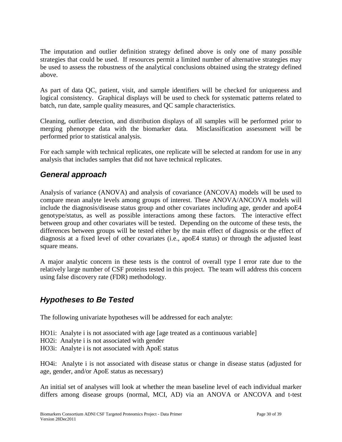The imputation and outlier definition strategy defined above is only one of many possible strategies that could be used. If resources permit a limited number of alternative strategies may be used to assess the robustness of the analytical conclusions obtained using the strategy defined above.

As part of data QC, patient, visit, and sample identifiers will be checked for uniqueness and logical consistency. Graphical displays will be used to check for systematic patterns related to batch, run date, sample quality measures, and QC sample characteristics.

Cleaning, outlier detection, and distribution displays of all samples will be performed prior to merging phenotype data with the biomarker data. Misclassification assessment will be performed prior to statistical analysis.

For each sample with technical replicates, one replicate will be selected at random for use in any analysis that includes samples that did not have technical replicates.

### <span id="page-29-0"></span>*General approach*

Analysis of variance (ANOVA) and analysis of covariance (ANCOVA) models will be used to compare mean analyte levels among groups of interest. These ANOVA/ANCOVA models will include the diagnosis/disease status group and other covariates including age, gender and apoE4 genotype/status, as well as possible interactions among these factors. The interactive effect between group and other covariates will be tested. Depending on the outcome of these tests, the differences between groups will be tested either by the main effect of diagnosis or the effect of diagnosis at a fixed level of other covariates (i.e., apoE4 status) or through the adjusted least square means.

A major analytic concern in these tests is the control of overall type I error rate due to the relatively large number of CSF proteins tested in this project. The team will address this concern using false discovery rate (FDR) methodology.

### <span id="page-29-1"></span>*Hypotheses to Be Tested*

The following univariate hypotheses will be addressed for each analyte:

- HO1i: Analyte i is not associated with age [age treated as a continuous variable]
- HO2i: Analyte i is not associated with gender
- HO3i: Analyte i is not associated with ApoE status

HO4i: Analyte i is not associated with disease status or change in disease status (adjusted for age, gender, and/or ApoE status as necessary)

An initial set of analyses will look at whether the mean baseline level of each individual marker differs among disease groups (normal, MCI, AD) via an ANOVA or ANCOVA and t-test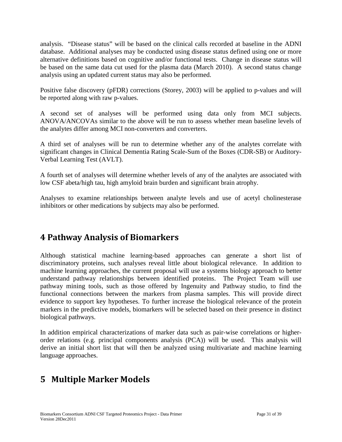analysis. "Disease status" will be based on the clinical calls recorded at baseline in the ADNI database. Additional analyses may be conducted using disease status defined using one or more alternative definitions based on cognitive and/or functional tests. Change in disease status will be based on the same data cut used for the plasma data (March 2010). A second status change analysis using an updated current status may also be performed.

Positive false discovery (pFDR) corrections (Storey, 2003) will be applied to p-values and will be reported along with raw p-values.

A second set of analyses will be performed using data only from MCI subjects. ANOVA/ANCOVAs similar to the above will be run to assess whether mean baseline levels of the analytes differ among MCI non-converters and converters.

A third set of analyses will be run to determine whether any of the analytes correlate with significant changes in Clinical Dementia Rating Scale-Sum of the Boxes (CDR-SB) or Auditory-Verbal Learning Test (AVLT).

A fourth set of analyses will determine whether levels of any of the analytes are associated with low CSF abeta/high tau, high amyloid brain burden and significant brain atrophy.

Analyses to examine relationships between analyte levels and use of acetyl cholinesterase inhibitors or other medications by subjects may also be performed.

## <span id="page-30-0"></span>**4 Pathway Analysis of Biomarkers**

Although statistical machine learning-based approaches can generate a short list of discriminatory proteins, such analyses reveal little about biological relevance. In addition to machine learning approaches, the current proposal will use a systems biology approach to better understand pathway relationships between identified proteins. The Project Team will use pathway mining tools, such as those offered by Ingenuity and Pathway studio, to find the functional connections between the markers from plasma samples. This will provide direct evidence to support key hypotheses. To further increase the biological relevance of the protein markers in the predictive models, biomarkers will be selected based on their presence in distinct biological pathways.

In addition empirical characterizations of marker data such as pair-wise correlations or higherorder relations (e.g. principal components analysis (PCA)) will be used. This analysis will derive an initial short list that will then be analyzed using multivariate and machine learning language approaches.

## <span id="page-30-1"></span>**5 Multiple Marker Models**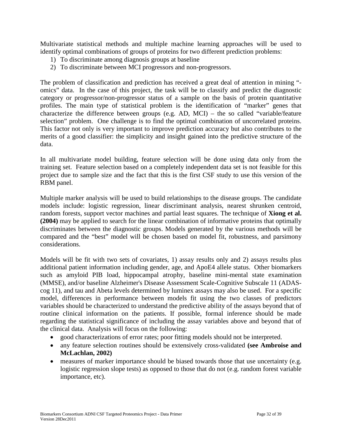Multivariate statistical methods and multiple machine learning approaches will be used to identify optimal combinations of groups of proteins for two different prediction problems:

- 1) To discriminate among diagnosis groups at baseline
- 2) To discriminate between MCI progressors and non-progressors.

The problem of classification and prediction has received a great deal of attention in mining " omics" data. In the case of this project, the task will be to classify and predict the diagnostic category or progressor/non-progressor status of a sample on the basis of protein quantitative profiles. The main type of statistical problem is the identification of "marker" genes that characterize the difference between groups (e.g. AD, MCI) – the so called "variable/feature selection" problem. One challenge is to find the optimal combination of uncorrelated proteins. This factor not only is very important to improve prediction accuracy but also contributes to the merits of a good classifier: the simplicity and insight gained into the predictive structure of the data.

In all multivariate model building, feature selection will be done using data only from the training set. Feature selection based on a completely independent data set is not feasible for this project due to sample size and the fact that this is the first CSF study to use this version of the RBM panel.

Multiple marker analysis will be used to build relationships to the disease groups. The candidate models include: logistic regression, linear discriminant analysis, nearest shrunken centroid, random forests, support vector machines and partial least squares. The technique of **Xiong et al. (2004)** may be applied to search for the linear combination of informative proteins that optimally discriminates between the diagnostic groups. Models generated by the various methods will be compared and the "best" model will be chosen based on model fit, robustness, and parsimony considerations.

Models will be fit with two sets of covariates, 1) assay results only and 2) assays results plus additional patient information including gender, age, and ApoE4 allele status. Other biomarkers such as amyloid PIB load, hippocampal atrophy, baseline mini-mental state examination (MMSE), and/or baseline Alzheimer's Disease Assessment Scale-Cognitive Subscale 11 (ADAScog 11), and tau and Abeta levels determined by luminex assays may also be used. For a specific model, differences in performance between models fit using the two classes of predictors variables should be characterized to understand the predictive ability of the assays beyond that of routine clinical information on the patients. If possible, formal inference should be made regarding the statistical significance of including the assay variables above and beyond that of the clinical data. Analysis will focus on the following:

- good characterizations of error rates; poor fitting models should not be interpreted.
- any feature selection routines should be extensively cross-validated **(see Ambroise and McLachlan, 2002)**
- measures of marker importance should be biased towards those that use uncertainty (e.g. logistic regression slope tests) as opposed to those that do not (e.g. random forest variable importance, etc).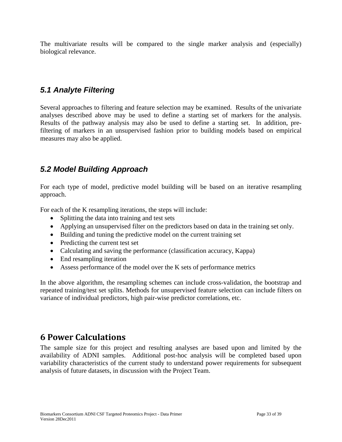The multivariate results will be compared to the single marker analysis and (especially) biological relevance.

### <span id="page-32-0"></span>*5.1 Analyte Filtering*

Several approaches to filtering and feature selection may be examined. Results of the univariate analyses described above may be used to define a starting set of markers for the analysis. Results of the pathway analysis may also be used to define a starting set. In addition, prefiltering of markers in an unsupervised fashion prior to building models based on empirical measures may also be applied.

### <span id="page-32-1"></span>*5.2 Model Building Approach*

For each type of model, predictive model building will be based on an iterative resampling approach.

For each of the K resampling iterations, the steps will include:

- Splitting the data into training and test sets
- Applying an unsupervised filter on the predictors based on data in the training set only.
- Building and tuning the predictive model on the current training set
- Predicting the current test set
- Calculating and saving the performance (classification accuracy, Kappa)
- End resampling iteration
- Assess performance of the model over the K sets of performance metrics

In the above algorithm, the resampling schemes can include cross-validation, the bootstrap and repeated training/test set splits. Methods for unsupervised feature selection can include filters on variance of individual predictors, high pair-wise predictor correlations, etc.

### <span id="page-32-2"></span>**6 Power Calculations**

The sample size for this project and resulting analyses are based upon and limited by the availability of ADNI samples. Additional post-hoc analysis will be completed based upon variability characteristics of the current study to understand power requirements for subsequent analysis of future datasets, in discussion with the Project Team.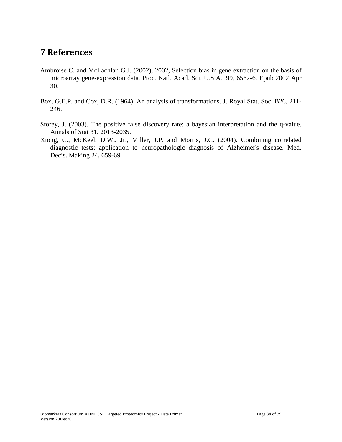### <span id="page-33-0"></span>**7 References**

- Ambroise C. and McLachlan G.J. (2002), 2002, Selection bias in gene extraction on the basis of microarray gene-expression data. Proc. Natl. Acad. Sci. U.S.A., 99, 6562-6. Epub 2002 Apr 30.
- Box, G.E.P. and Cox, D.R. (1964). An analysis of transformations. J. Royal Stat. Soc. B26, 211- 246.
- Storey, J. (2003). The positive false discovery rate: a bayesian interpretation and the q-value. Annals of Stat 31, 2013-2035.
- Xiong, C., McKeel, D.W., Jr., Miller, J.P. and Morris, J.C. (2004). Combining correlated diagnostic tests: application to neuropathologic diagnosis of Alzheimer's disease. Med. Decis. Making 24, 659-69.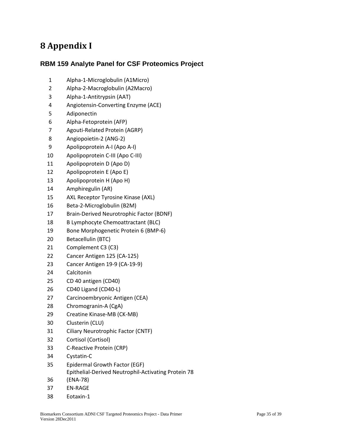## <span id="page-34-0"></span>**8 Appendix I**

### **RBM 159 Analyte Panel for CSF Proteomics Project**

- Alpha-1-Microglobulin (A1Micro)
- Alpha-2-Macroglobulin (A2Macro)
- Alpha-1-Antitrypsin (AAT)
- Angiotensin-Converting Enzyme (ACE)
- Adiponectin
- Alpha-Fetoprotein (AFP)
- Agouti-Related Protein (AGRP)
- Angiopoietin-2 (ANG-2)
- Apolipoprotein A-I (Apo A-I)
- Apolipoprotein C-III (Apo C-III)
- Apolipoprotein D (Apo D)
- Apolipoprotein E (Apo E)
- Apolipoprotein H (Apo H)
- Amphiregulin (AR)
- AXL Receptor Tyrosine Kinase (AXL)
- Beta-2-Microglobulin (B2M)
- Brain-Derived Neurotrophic Factor (BDNF)
- B Lymphocyte Chemoattractant (BLC)
- Bone Morphogenetic Protein 6 (BMP-6)
- Betacellulin (BTC)
- Complement C3 (C3)
- Cancer Antigen 125 (CA-125)
- Cancer Antigen 19-9 (CA-19-9)
- Calcitonin
- CD 40 antigen (CD40)
- CD40 Ligand (CD40-L)
- Carcinoembryonic Antigen (CEA)
- Chromogranin-A (CgA)
- Creatine Kinase-MB (CK-MB)
- Clusterin (CLU)
- Ciliary Neurotrophic Factor (CNTF)
- Cortisol (Cortisol)
- C-Reactive Protein (CRP)
- Cystatin-C
- Epidermal Growth Factor (EGF)
- Epithelial-Derived Neutrophil-Activating Protein 78
- (ENA-78)
- EN-RAGE
- Eotaxin-1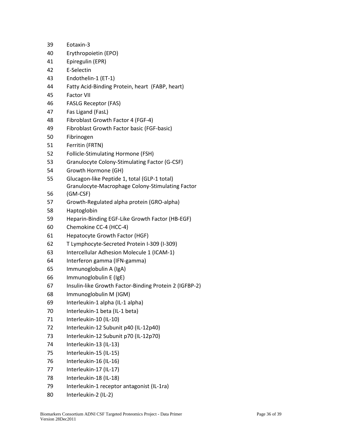- Eotaxin-3
- Erythropoietin (EPO)
- Epiregulin (EPR)
- E-Selectin
- Endothelin-1 (ET-1)
- Fatty Acid-Binding Protein, heart (FABP, heart)
- Factor VII
- FASLG Receptor (FAS)
- Fas Ligand (FasL)
- Fibroblast Growth Factor 4 (FGF-4)
- Fibroblast Growth Factor basic (FGF-basic)
- Fibrinogen
- Ferritin (FRTN)
- Follicle-Stimulating Hormone (FSH)
- Granulocyte Colony-Stimulating Factor (G-CSF)
- Growth Hormone (GH)
- Glucagon-like Peptide 1, total (GLP-1 total) Granulocyte-Macrophage Colony-Stimulating Factor
- (GM-CSF)
- Growth-Regulated alpha protein (GRO-alpha)
- Haptoglobin
- Heparin-Binding EGF-Like Growth Factor (HB-EGF)
- Chemokine CC-4 (HCC-4)
- Hepatocyte Growth Factor (HGF)
- T Lymphocyte-Secreted Protein I-309 (I-309)
- Intercellular Adhesion Molecule 1 (ICAM-1)
- Interferon gamma (IFN-gamma)
- Immunoglobulin A (IgA)
- Immunoglobulin E (IgE)
- Insulin-like Growth Factor-Binding Protein 2 (IGFBP-2)
- Immunoglobulin M (IGM)
- Interleukin-1 alpha (IL-1 alpha)
- Interleukin-1 beta (IL-1 beta)
- 71 Interleukin-10 (IL-10)
- Interleukin-12 Subunit p40 (IL-12p40)
- Interleukin-12 Subunit p70 (IL-12p70)
- Interleukin-13 (IL-13)
- Interleukin-15 (IL-15)
- Interleukin-16 (IL-16)
- Interleukin-17 (IL-17)
- Interleukin-18 (IL-18)
- Interleukin-1 receptor antagonist (IL-1ra)
- Interleukin-2 (IL-2)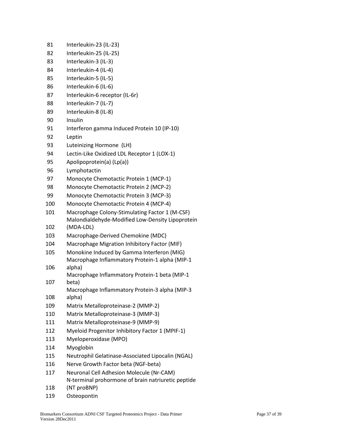| 81  | Interleukin-23 (IL-23)                                 |
|-----|--------------------------------------------------------|
| 82  | Interleukin-25 (IL-25)                                 |
| 83  | Interleukin-3 (IL-3)                                   |
| 84  | Interleukin-4 (IL-4)                                   |
| 85  | Interleukin-5 (IL-5)                                   |
| 86  | Interleukin-6 (IL-6)                                   |
| 87  | Interleukin-6 receptor (IL-6r)                         |
| 88  | Interleukin-7 (IL-7)                                   |
| 89  | Interleukin-8 (IL-8)                                   |
| 90  | Insulin                                                |
| 91  | Interferon gamma Induced Protein 10 (IP-10)            |
| 92  | Leptin                                                 |
| 93  | Luteinizing Hormone (LH)                               |
| 94  | Lectin-Like Oxidized LDL Receptor 1 (LOX-1)            |
| 95  | Apolipoprotein(a) (Lp(a))                              |
| 96  | Lymphotactin                                           |
| 97  | Monocyte Chemotactic Protein 1 (MCP-1)                 |
| 98  | Monocyte Chemotactic Protein 2 (MCP-2)                 |
| 99  | Monocyte Chemotactic Protein 3 (MCP-3)                 |
| 100 | Monocyte Chemotactic Protein 4 (MCP-4)                 |
| 101 | Macrophage Colony-Stimulating Factor 1 (M-CSF)         |
|     | Malondialdehyde-Modified Low-Density Lipoprotein       |
| 102 | (MDA-LDL)                                              |
| 103 | Macrophage-Derived Chemokine (MDC)                     |
| 104 | Macrophage Migration Inhibitory Factor (MIF)           |
| 105 | Monokine Induced by Gamma Interferon (MIG)             |
|     | Macrophage Inflammatory Protein-1 alpha (MIP-1         |
| 106 | alpha)                                                 |
| 107 | Macrophage Inflammatory Protein-1 beta (MIP-1<br>beta) |
|     | Macrophage Inflammatory Protein-3 alpha (MIP-3         |
| 108 | alpha)                                                 |
| 109 | Matrix Metalloproteinase-2 (MMP-2)                     |
| 110 | Matrix Metalloproteinase-3 (MMP-3)                     |
| 111 | Matrix Metalloproteinase-9 (MMP-9)                     |
| 112 | Myeloid Progenitor Inhibitory Factor 1 (MPIF-1)        |
| 113 | Myeloperoxidase (MPO)                                  |
| 114 | Myoglobin                                              |
| 115 | Neutrophil Gelatinase-Associated Lipocalin (NGAL)      |
| 116 | Nerve Growth Factor beta (NGF-beta)                    |
| 117 | Neuronal Cell Adhesion Molecule (Nr-CAM)               |
|     | N-terminal prohormone of brain natriuretic peptide     |
| 118 | (NT proBNP)                                            |
| 119 | Osteopontin                                            |
|     |                                                        |